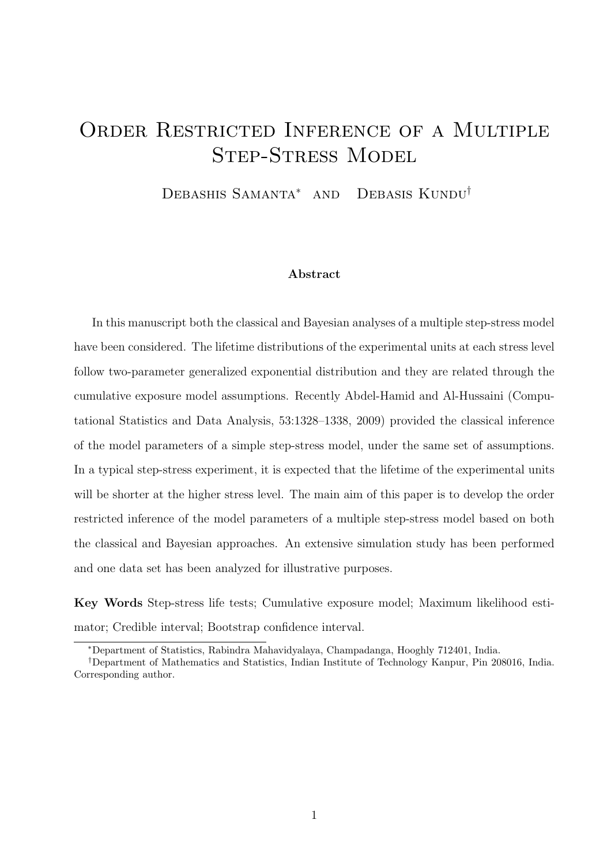# ORDER RESTRICTED INFERENCE OF A MULTIPLE Step-Stress Model

Debashis Samanta<sup>∗</sup> and Debasis Kundu†

#### Abstract

In this manuscript both the classical and Bayesian analyses of a multiple step-stress model have been considered. The lifetime distributions of the experimental units at each stress level follow two-parameter generalized exponential distribution and they are related through the cumulative exposure model assumptions. Recently Abdel-Hamid and Al-Hussaini (Computational Statistics and Data Analysis, 53:1328–1338, 2009) provided the classical inference of the model parameters of a simple step-stress model, under the same set of assumptions. In a typical step-stress experiment, it is expected that the lifetime of the experimental units will be shorter at the higher stress level. The main aim of this paper is to develop the order restricted inference of the model parameters of a multiple step-stress model based on both the classical and Bayesian approaches. An extensive simulation study has been performed and one data set has been analyzed for illustrative purposes.

Key Words Step-stress life tests; Cumulative exposure model; Maximum likelihood estimator; Credible interval; Bootstrap confidence interval.

<sup>∗</sup>Department of Statistics, Rabindra Mahavidyalaya, Champadanga, Hooghly 712401, India.

<sup>†</sup>Department of Mathematics and Statistics, Indian Institute of Technology Kanpur, Pin 208016, India. Corresponding author.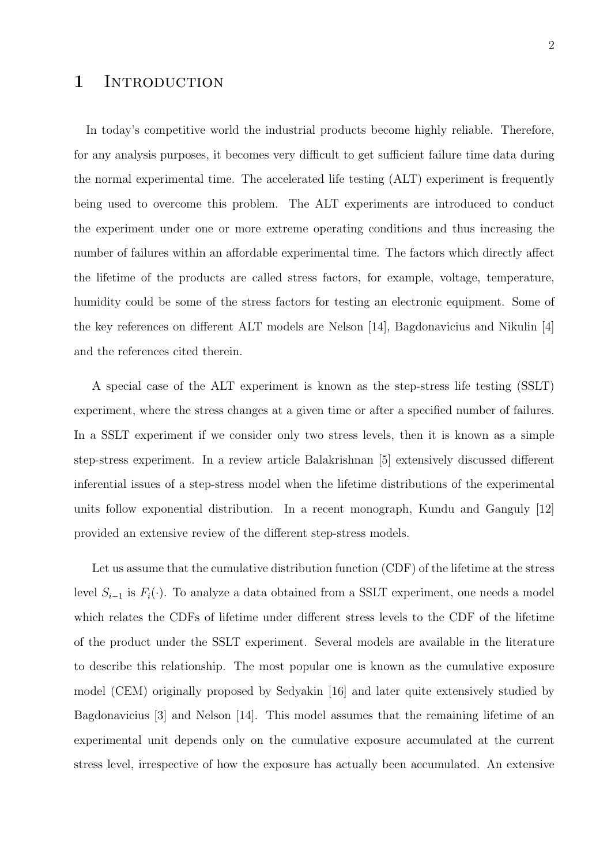### 1 INTRODUCTION

In today's competitive world the industrial products become highly reliable. Therefore, for any analysis purposes, it becomes very difficult to get sufficient failure time data during the normal experimental time. The accelerated life testing (ALT) experiment is frequently being used to overcome this problem. The ALT experiments are introduced to conduct the experiment under one or more extreme operating conditions and thus increasing the number of failures within an affordable experimental time. The factors which directly affect the lifetime of the products are called stress factors, for example, voltage, temperature, humidity could be some of the stress factors for testing an electronic equipment. Some of the key references on different ALT models are Nelson [14], Bagdonavicius and Nikulin [4] and the references cited therein.

A special case of the ALT experiment is known as the step-stress life testing (SSLT) experiment, where the stress changes at a given time or after a specified number of failures. In a SSLT experiment if we consider only two stress levels, then it is known as a simple step-stress experiment. In a review article Balakrishnan [5] extensively discussed different inferential issues of a step-stress model when the lifetime distributions of the experimental units follow exponential distribution. In a recent monograph, Kundu and Ganguly [12] provided an extensive review of the different step-stress models.

Let us assume that the cumulative distribution function (CDF) of the lifetime at the stress level  $S_{i-1}$  is  $F_i(\cdot)$ . To analyze a data obtained from a SSLT experiment, one needs a model which relates the CDFs of lifetime under different stress levels to the CDF of the lifetime of the product under the SSLT experiment. Several models are available in the literature to describe this relationship. The most popular one is known as the cumulative exposure model (CEM) originally proposed by Sedyakin [16] and later quite extensively studied by Bagdonavicius [3] and Nelson [14]. This model assumes that the remaining lifetime of an experimental unit depends only on the cumulative exposure accumulated at the current stress level, irrespective of how the exposure has actually been accumulated. An extensive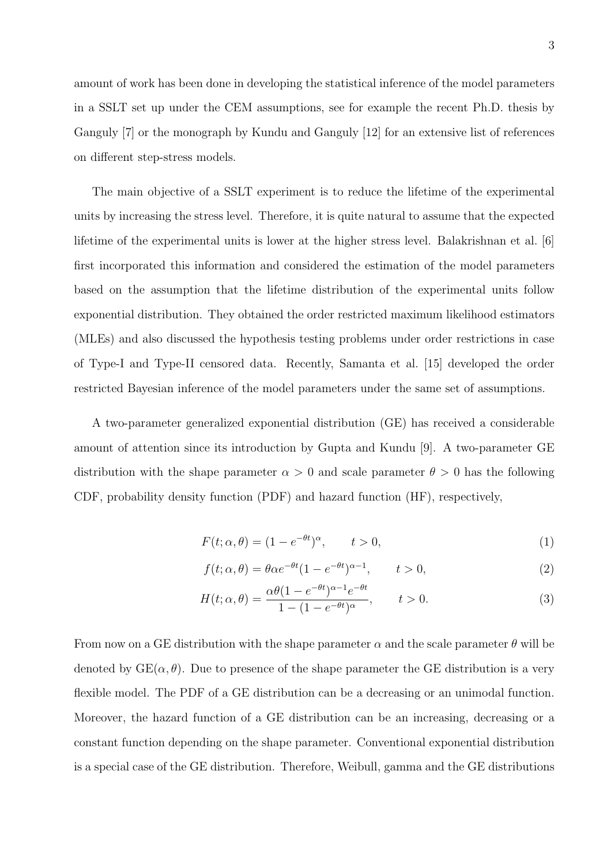amount of work has been done in developing the statistical inference of the model parameters in a SSLT set up under the CEM assumptions, see for example the recent Ph.D. thesis by Ganguly [7] or the monograph by Kundu and Ganguly [12] for an extensive list of references on different step-stress models.

The main objective of a SSLT experiment is to reduce the lifetime of the experimental units by increasing the stress level. Therefore, it is quite natural to assume that the expected lifetime of the experimental units is lower at the higher stress level. Balakrishnan et al. [6] first incorporated this information and considered the estimation of the model parameters based on the assumption that the lifetime distribution of the experimental units follow exponential distribution. They obtained the order restricted maximum likelihood estimators (MLEs) and also discussed the hypothesis testing problems under order restrictions in case of Type-I and Type-II censored data. Recently, Samanta et al. [15] developed the order restricted Bayesian inference of the model parameters under the same set of assumptions.

A two-parameter generalized exponential distribution (GE) has received a considerable amount of attention since its introduction by Gupta and Kundu [9]. A two-parameter GE distribution with the shape parameter  $\alpha > 0$  and scale parameter  $\theta > 0$  has the following CDF, probability density function (PDF) and hazard function (HF), respectively,

$$
F(t; \alpha, \theta) = (1 - e^{-\theta t})^{\alpha}, \qquad t > 0,
$$
\n<sup>(1)</sup>

$$
f(t; \alpha, \theta) = \theta \alpha e^{-\theta t} (1 - e^{-\theta t})^{\alpha - 1}, \qquad t > 0,
$$
\n<sup>(2)</sup>

$$
H(t; \alpha, \theta) = \frac{\alpha \theta (1 - e^{-\theta t})^{\alpha - 1} e^{-\theta t}}{1 - (1 - e^{-\theta t})^{\alpha}}, \qquad t > 0.
$$
 (3)

From now on a GE distribution with the shape parameter  $\alpha$  and the scale parameter  $\theta$  will be denoted by  $GE(\alpha, \theta)$ . Due to presence of the shape parameter the GE distribution is a very flexible model. The PDF of a GE distribution can be a decreasing or an unimodal function. Moreover, the hazard function of a GE distribution can be an increasing, decreasing or a constant function depending on the shape parameter. Conventional exponential distribution is a special case of the GE distribution. Therefore, Weibull, gamma and the GE distributions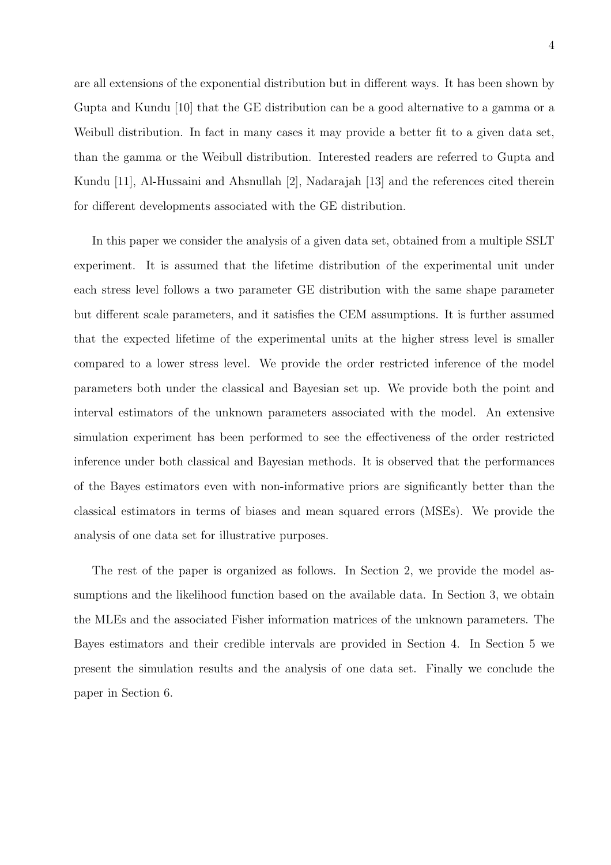are all extensions of the exponential distribution but in different ways. It has been shown by Gupta and Kundu [10] that the GE distribution can be a good alternative to a gamma or a Weibull distribution. In fact in many cases it may provide a better fit to a given data set, than the gamma or the Weibull distribution. Interested readers are referred to Gupta and Kundu [11], Al-Hussaini and Ahsnullah [2], Nadarajah [13] and the references cited therein for different developments associated with the GE distribution.

In this paper we consider the analysis of a given data set, obtained from a multiple SSLT experiment. It is assumed that the lifetime distribution of the experimental unit under each stress level follows a two parameter GE distribution with the same shape parameter but different scale parameters, and it satisfies the CEM assumptions. It is further assumed that the expected lifetime of the experimental units at the higher stress level is smaller compared to a lower stress level. We provide the order restricted inference of the model parameters both under the classical and Bayesian set up. We provide both the point and interval estimators of the unknown parameters associated with the model. An extensive simulation experiment has been performed to see the effectiveness of the order restricted inference under both classical and Bayesian methods. It is observed that the performances of the Bayes estimators even with non-informative priors are significantly better than the classical estimators in terms of biases and mean squared errors (MSEs). We provide the analysis of one data set for illustrative purposes.

The rest of the paper is organized as follows. In Section 2, we provide the model assumptions and the likelihood function based on the available data. In Section 3, we obtain the MLEs and the associated Fisher information matrices of the unknown parameters. The Bayes estimators and their credible intervals are provided in Section 4. In Section 5 we present the simulation results and the analysis of one data set. Finally we conclude the paper in Section 6.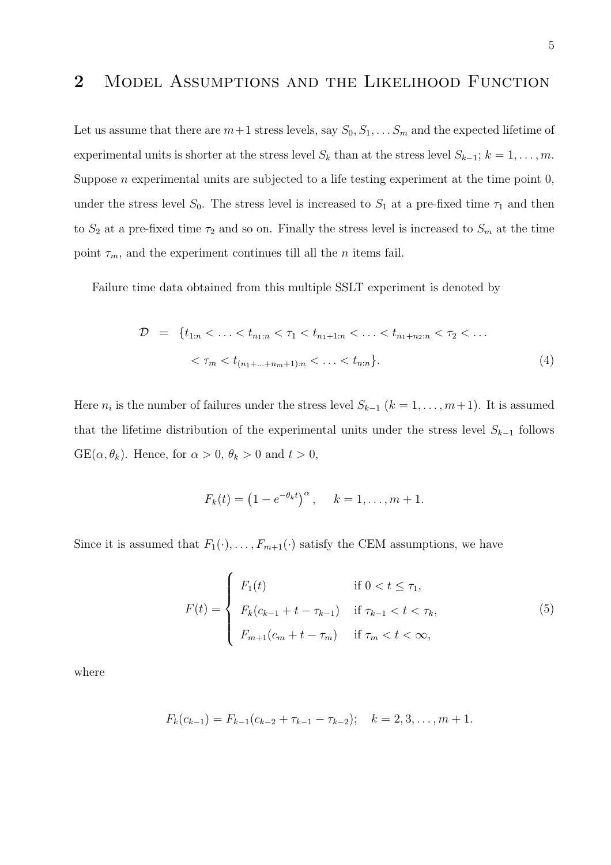### 2 Model Assumptions and the Likelihood Function

Let us assume that there are  $m+1$  stress levels, say  $S_0, S_1, \ldots S_m$  and the expected lifetime of experimental units is shorter at the stress level  $S_k$  than at the stress level  $S_{k-1}$ ;  $k = 1, \ldots, m$ . Suppose *n* experimental units are subjected to a life testing experiment at the time point  $0$ , under the stress level S<sub>0</sub>. The stress level is increased to  $S_1$  at a pre-fixed time  $\tau_1$  and then to  $S_2$  at a pre-fixed time  $\tau_2$  and so on. Finally the stress level is increased to  $S_m$  at the time point  $\tau_m$ , and the experiment continues till all the *n* items fail.

Failure time data obtained from this multiple SSLT experiment is denoted by

$$
\mathcal{D} = \{t_{1:n} < \ldots < t_{n_1:n} < \tau_1 < t_{n_1+1:n} < \ldots < t_{n_1+n_2:n} < \tau_2 < \ldots \\
&< \tau_m < t_{(n_1+\ldots+n_m+1):n} < \ldots < t_{n:n}\}.\n\tag{4}
$$

Here  $n_i$  is the number of failures under the stress level  $S_{k-1}$   $(k = 1, \ldots, m+1)$ . It is assumed that the lifetime distribution of the experimental units under the stress level  $S_{k-1}$  follows  $GE(\alpha, \theta_k)$ . Hence, for  $\alpha > 0$ ,  $\theta_k > 0$  and  $t > 0$ ,

$$
F_k(t) = (1 - e^{-\theta_k t})^{\alpha}, \quad k = 1, ..., m + 1.
$$

Since it is assumed that  $F_1(\cdot), \ldots, F_{m+1}(\cdot)$  satisfy the CEM assumptions, we have

$$
F(t) = \begin{cases} F_1(t) & \text{if } 0 < t \le \tau_1, \\ F_k(c_{k-1} + t - \tau_{k-1}) & \text{if } \tau_{k-1} < t < \tau_k, \\ F_{m+1}(c_m + t - \tau_m) & \text{if } \tau_m < t < \infty, \end{cases} \tag{5}
$$

where

$$
F_k(c_{k-1}) = F_{k-1}(c_{k-2} + \tau_{k-1} - \tau_{k-2}); \quad k = 2, 3, \dots, m+1.
$$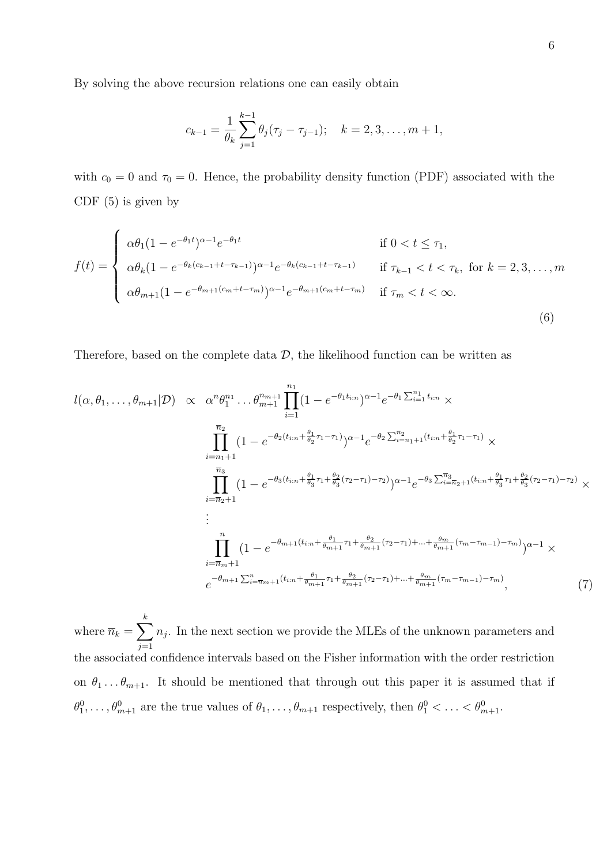By solving the above recursion relations one can easily obtain

$$
c_{k-1} = \frac{1}{\theta_k} \sum_{j=1}^{k-1} \theta_j (\tau_j - \tau_{j-1}); \quad k = 2, 3, \dots, m+1,
$$

with  $c_0 = 0$  and  $\tau_0 = 0$ . Hence, the probability density function (PDF) associated with the CDF (5) is given by

$$
f(t) = \begin{cases} \alpha \theta_1 (1 - e^{-\theta_1 t})^{\alpha - 1} e^{-\theta_1 t} & \text{if } 0 < t \le \tau_1, \\ \alpha \theta_k (1 - e^{-\theta_k (c_{k-1} + t - \tau_{k-1})})^{\alpha - 1} e^{-\theta_k (c_{k-1} + t - \tau_{k-1})} & \text{if } \tau_{k-1} < t < \tau_k, \text{ for } k = 2, 3, \dots, m \\ \alpha \theta_{m+1} (1 - e^{-\theta_{m+1} (c_m + t - \tau_m)})^{\alpha - 1} e^{-\theta_{m+1} (c_m + t - \tau_m)} & \text{if } \tau_m < t < \infty. \end{cases} \tag{6}
$$

Therefore, based on the complete data  $D$ , the likelihood function can be written as

$$
l(\alpha, \theta_1, \dots, \theta_{m+1} | \mathcal{D}) \propto \alpha^n \theta_1^{n_1} \dots \theta_{m+1}^{n_{m+1}} \prod_{i=1}^{n_1} (1 - e^{-\theta_1 t_{i:n}})^{\alpha - 1} e^{-\theta_1 \sum_{i=1}^{n_1} t_{i:n}} \times \prod_{i=n_1+1}^{\overline{n}_2} (1 - e^{-\theta_2 (t_{i:n} + \frac{\theta_1}{\theta_2} \tau_1 - \tau_1)})^{\alpha - 1} e^{-\theta_2 \sum_{i=n_1+1}^{\overline{n}_2} (t_{i:n} + \frac{\theta_1}{\theta_2} \tau_1 - \tau_1)} \times \prod_{i=n_2+1}^{\overline{n}_3} (1 - e^{-\theta_3 (t_{i:n} + \frac{\theta_1}{\theta_3} \tau_1 + \frac{\theta_2}{\theta_3} (\tau_2 - \tau_1) - \tau_2)})^{\alpha - 1} e^{-\theta_3 \sum_{i=n_2+1}^{\overline{n}_3} (t_{i:n} + \frac{\theta_1}{\theta_3} \tau_1 + \frac{\theta_2}{\theta_3} (\tau_2 - \tau_1) - \tau_2)} \times \vdots \prod_{i=\overline{n}_m+1}^{\overline{n}_1} (1 - e^{-\theta_{m+1} (t_{i:n} + \frac{\theta_1}{\theta_{m+1}} \tau_1 + \frac{\theta_2}{\theta_{m+1}} (\tau_2 - \tau_1) + \dots + \frac{\theta_m}{\theta_{m+1}} (\tau_m - \tau_{m-1}) - \tau_m)})^{\alpha - 1} \times \ne^{-\theta_{m+1} \sum_{i=n_1+1}^{\overline{n}_{m+1}} (t_{i:n} + \frac{\theta_1}{\theta_{m+1}} \tau_1 + \frac{\theta_2}{\theta_{m+1}} (\tau_2 - \tau_1) + \dots + \frac{\theta_m}{\theta_{m+1}} (\tau_m - \tau_{m-1}) - \tau_m)}, \tag{7}
$$

where  $\overline{n}_k = \sum^k$  $j=1$  $n_j$ . In the next section we provide the MLEs of the unknown parameters and the associated confidence intervals based on the Fisher information with the order restriction on  $\theta_1 \ldots \theta_{m+1}$ . It should be mentioned that through out this paper it is assumed that if  $\theta_1^0,\ldots,\theta_{m+1}^0$  are the true values of  $\theta_1,\ldots,\theta_{m+1}$  respectively, then  $\theta_1^0<\ldots<\theta_{m+1}^0$ .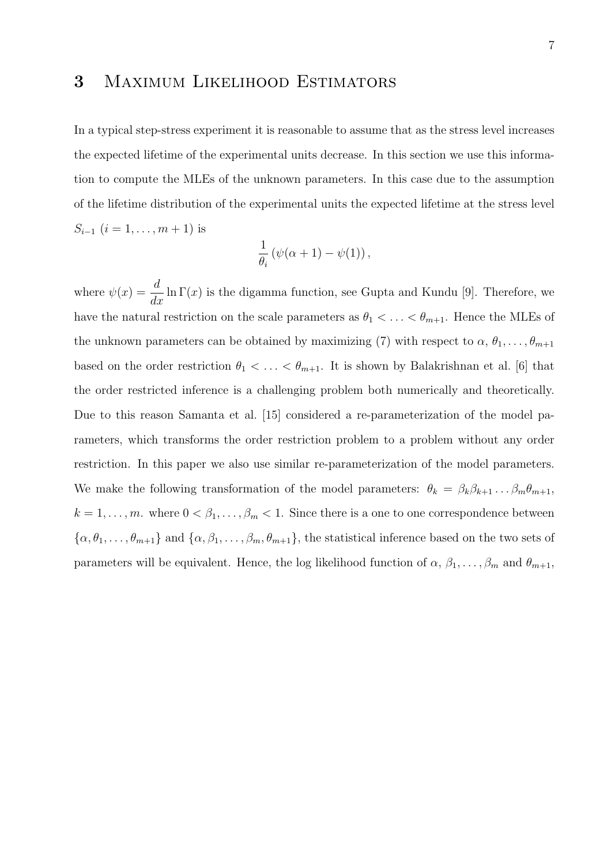### 3 Maximum Likelihood Estimators

In a typical step-stress experiment it is reasonable to assume that as the stress level increases the expected lifetime of the experimental units decrease. In this section we use this information to compute the MLEs of the unknown parameters. In this case due to the assumption of the lifetime distribution of the experimental units the expected lifetime at the stress level  $S_{i-1}$   $(i = 1, \ldots, m + 1)$  is

$$
\frac{1}{\theta_i} \left( \psi(\alpha + 1) - \psi(1) \right),\,
$$

where  $\psi(x) = \frac{d}{dx} \ln \Gamma(x)$  is the digamma function, see Gupta and Kundu [9]. Therefore, we have the natural restriction on the scale parameters as  $\theta_1 < \ldots < \theta_{m+1}$ . Hence the MLEs of the unknown parameters can be obtained by maximizing (7) with respect to  $\alpha$ ,  $\theta_1, \ldots, \theta_{m+1}$ based on the order restriction  $\theta_1 < \ldots < \theta_{m+1}$ . It is shown by Balakrishnan et al. [6] that the order restricted inference is a challenging problem both numerically and theoretically. Due to this reason Samanta et al. [15] considered a re-parameterization of the model parameters, which transforms the order restriction problem to a problem without any order restriction. In this paper we also use similar re-parameterization of the model parameters. We make the following transformation of the model parameters:  $\theta_k = \beta_k \beta_{k+1} \dots \beta_m \theta_{m+1}$ ,  $k = 1, \ldots, m$ . where  $0 < \beta_1, \ldots, \beta_m < 1$ . Since there is a one to one correspondence between  $\{\alpha, \theta_1, \dots, \theta_{m+1}\}\$ and  $\{\alpha, \beta_1, \dots, \beta_m, \theta_{m+1}\}\$ , the statistical inference based on the two sets of parameters will be equivalent. Hence, the log likelihood function of  $\alpha$ ,  $\beta_1, \ldots, \beta_m$  and  $\theta_{m+1}$ ,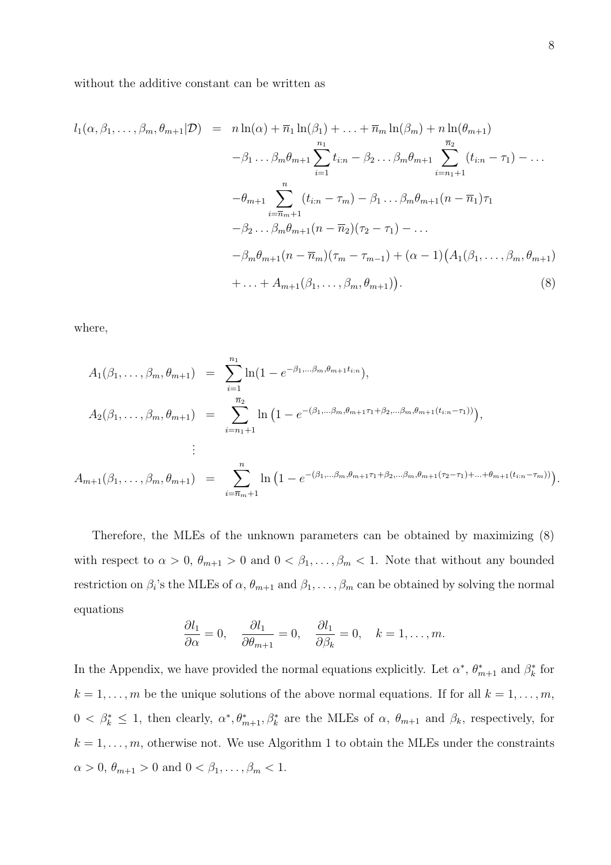without the additive constant can be written as

$$
l_{1}(\alpha, \beta_{1}, \ldots, \beta_{m}, \theta_{m+1} | \mathcal{D}) = n \ln(\alpha) + \overline{n}_{1} \ln(\beta_{1}) + \ldots + \overline{n}_{m} \ln(\beta_{m}) + n \ln(\theta_{m+1})
$$
  
\n
$$
- \beta_{1} \ldots \beta_{m} \theta_{m+1} \sum_{i=1}^{n_{1}} t_{i:n} - \beta_{2} \ldots \beta_{m} \theta_{m+1} \sum_{i=n_{1}+1}^{\overline{n}_{2}} (t_{i:n} - \tau_{1}) - \ldots
$$
  
\n
$$
- \theta_{m+1} \sum_{i=\overline{n}_{m}+1}^{n} (t_{i:n} - \tau_{m}) - \beta_{1} \ldots \beta_{m} \theta_{m+1} (n - \overline{n}_{1}) \tau_{1}
$$
  
\n
$$
- \beta_{2} \ldots \beta_{m} \theta_{m+1} (n - \overline{n}_{2}) (\tau_{2} - \tau_{1}) - \ldots
$$
  
\n
$$
- \beta_{m} \theta_{m+1} (n - \overline{n}_{m}) (\tau_{m} - \tau_{m-1}) + (\alpha - 1) (A_{1}(\beta_{1}, \ldots, \beta_{m}, \theta_{m+1}) + \ldots + A_{m+1}(\beta_{1}, \ldots, \beta_{m}, \theta_{m+1})). \tag{8}
$$

where,

$$
A_1(\beta_1, \ldots, \beta_m, \theta_{m+1}) = \sum_{i=1}^{n_1} \ln(1 - e^{-\beta_1, \ldots, \beta_m, \theta_{m+1} t_{i:n}}),
$$
  
\n
$$
A_2(\beta_1, \ldots, \beta_m, \theta_{m+1}) = \sum_{i=n_1+1}^{\overline{n_2}} \ln(1 - e^{-(\beta_1, \ldots, \beta_m, \theta_{m+1} \tau_1 + \beta_2, \ldots, \beta_m, \theta_{m+1} (t_{i:n} - \tau_1))}),
$$
  
\n
$$
\vdots
$$
  
\n
$$
A_{m+1}(\beta_1, \ldots, \beta_m, \theta_{m+1}) = \sum_{i=\overline{n}_m+1}^n \ln(1 - e^{-(\beta_1, \ldots, \beta_m, \theta_{m+1} \tau_1 + \beta_2, \ldots, \beta_m, \theta_{m+1} (\tau_2 - \tau_1) + \ldots + \theta_{m+1} (t_{i:n} - \tau_m))}).
$$

Therefore, the MLEs of the unknown parameters can be obtained by maximizing (8) with respect to  $\alpha > 0$ ,  $\theta_{m+1} > 0$  and  $0 < \beta_1, \ldots, \beta_m < 1$ . Note that without any bounded restriction on  $\beta_i$ 's the MLEs of  $\alpha$ ,  $\theta_{m+1}$  and  $\beta_1, \ldots, \beta_m$  can be obtained by solving the normal equations

$$
\frac{\partial l_1}{\partial \alpha} = 0, \quad \frac{\partial l_1}{\partial \theta_{m+1}} = 0, \quad \frac{\partial l_1}{\partial \beta_k} = 0, \quad k = 1, \dots, m.
$$

In the Appendix, we have provided the normal equations explicitly. Let  $\alpha^*, \theta^*_{m+1}$  and  $\beta^*_k$  for  $k = 1, \ldots, m$  be the unique solutions of the above normal equations. If for all  $k = 1, \ldots, m$ ,  $0 < \beta_k^* \leq 1$ , then clearly,  $\alpha^*, \theta_{m+1}^*, \beta_k^*$  are the MLEs of  $\alpha, \theta_{m+1}$  and  $\beta_k$ , respectively, for  $k = 1, \ldots, m$ , otherwise not. We use Algorithm 1 to obtain the MLEs under the constraints  $\alpha > 0, \, \theta_{m+1} > 0$  and  $0 < \beta_1, \ldots, \beta_m < 1$ .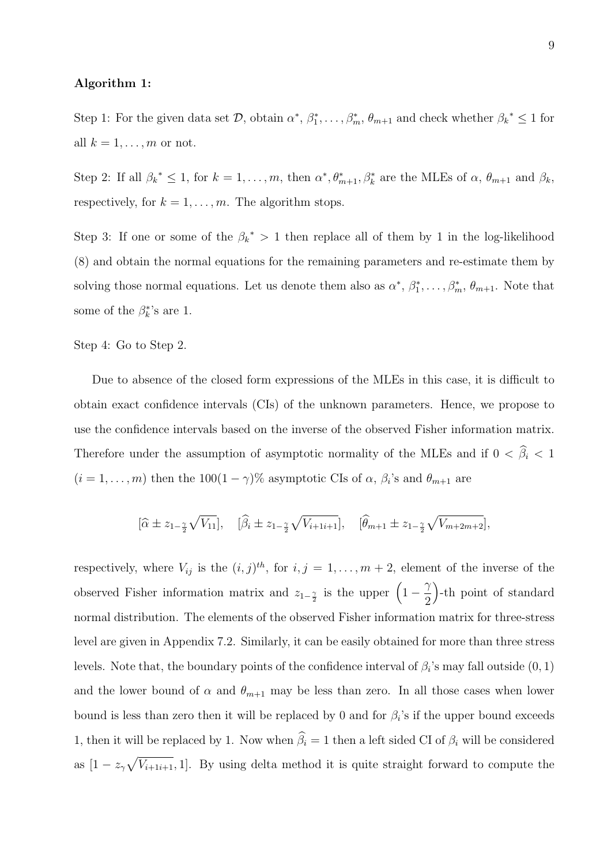#### Algorithm 1:

Step 1: For the given data set  $\mathcal{D}$ , obtain  $\alpha^*, \beta_1^*, \ldots, \beta_m^*, \theta_{m+1}$  and check whether  $\beta_k^* \leq 1$  for all  $k = 1, \ldots, m$  or not.

Step 2: If all  $\beta_k^* \leq 1$ , for  $k = 1, ..., m$ , then  $\alpha^*, \theta_{m+1}^*, \beta_k^*$  are the MLEs of  $\alpha, \theta_{m+1}$  and  $\beta_k$ , respectively, for  $k = 1, \ldots, m$ . The algorithm stops.

Step 3: If one or some of the  $\beta_k^* > 1$  then replace all of them by 1 in the log-likelihood (8) and obtain the normal equations for the remaining parameters and re-estimate them by solving those normal equations. Let us denote them also as  $\alpha^*, \beta_1^*, \ldots, \beta_m^*, \theta_{m+1}$ . Note that some of the  $\beta_k^*$ 's are 1.

Step 4: Go to Step 2.

Due to absence of the closed form expressions of the MLEs in this case, it is difficult to obtain exact confidence intervals (CIs) of the unknown parameters. Hence, we propose to use the confidence intervals based on the inverse of the observed Fisher information matrix. Therefore under the assumption of asymptotic normality of the MLEs and if  $0 < \hat{\beta}_i < 1$  $(i = 1, \ldots, m)$  then the  $100(1 - \gamma)\%$  asymptotic CIs of  $\alpha$ ,  $\beta_i$ 's and  $\theta_{m+1}$  are

$$
[\hat{\alpha} \pm z_{1-\frac{\gamma}{2}}\sqrt{V_{11}}], \quad [\hat{\beta}_i \pm z_{1-\frac{\gamma}{2}}\sqrt{V_{i+1i+1}}], \quad [\hat{\theta}_{m+1} \pm z_{1-\frac{\gamma}{2}}\sqrt{V_{m+2m+2}}],
$$

respectively, where  $V_{ij}$  is the  $(i, j)^{th}$ , for  $i, j = 1, \ldots, m + 2$ , element of the inverse of the observed Fisher information matrix and  $z_{1-\frac{\gamma}{2}}$  is the upper  $\left(1-\frac{\gamma}{2}\right)$  $\gamma$ 2 -th point of standard normal distribution. The elements of the observed Fisher information matrix for three-stress level are given in Appendix 7.2. Similarly, it can be easily obtained for more than three stress levels. Note that, the boundary points of the confidence interval of  $\beta_i$ 's may fall outside  $(0,1)$ and the lower bound of  $\alpha$  and  $\theta_{m+1}$  may be less than zero. In all those cases when lower bound is less than zero then it will be replaced by 0 and for  $\beta_i$ 's if the upper bound exceeds 1, then it will be replaced by 1. Now when  $\widehat{\beta}_i = 1$  then a left sided CI of  $\beta_i$  will be considered as  $[1 - z_{\gamma}\sqrt{V_{i+1}}; 1]$ . By using delta method it is quite straight forward to compute the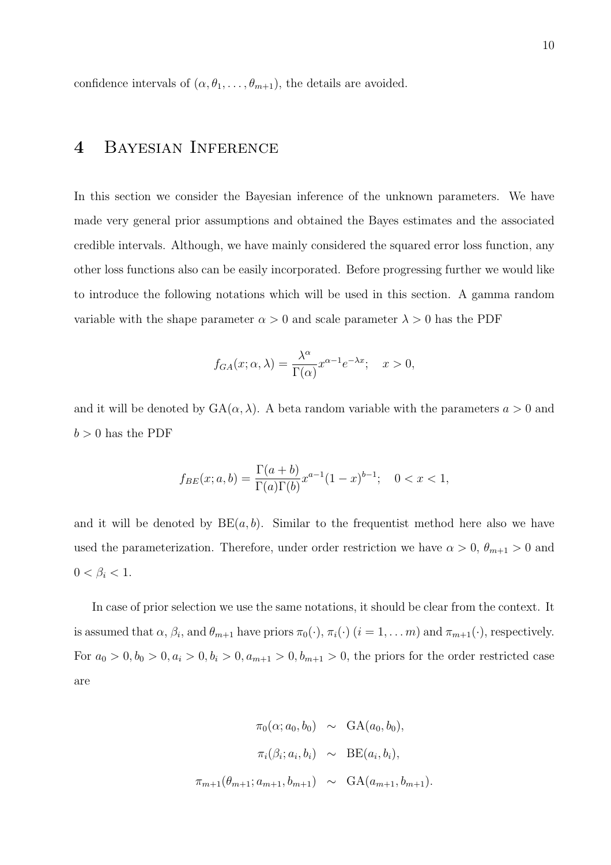confidence intervals of  $(\alpha, \theta_1, \ldots, \theta_{m+1})$ , the details are avoided.

# 4 Bayesian Inference

In this section we consider the Bayesian inference of the unknown parameters. We have made very general prior assumptions and obtained the Bayes estimates and the associated credible intervals. Although, we have mainly considered the squared error loss function, any other loss functions also can be easily incorporated. Before progressing further we would like to introduce the following notations which will be used in this section. A gamma random variable with the shape parameter  $\alpha > 0$  and scale parameter  $\lambda > 0$  has the PDF

$$
f_{GA}(x; \alpha, \lambda) = \frac{\lambda^{\alpha}}{\Gamma(\alpha)} x^{\alpha - 1} e^{-\lambda x}; \quad x > 0,
$$

and it will be denoted by  $GA(\alpha, \lambda)$ . A beta random variable with the parameters  $a > 0$  and  $b > 0$  has the PDF

$$
f_{BE}(x;a,b) = \frac{\Gamma(a+b)}{\Gamma(a)\Gamma(b)} x^{a-1} (1-x)^{b-1}; \quad 0 < x < 1,
$$

and it will be denoted by  $BE(a, b)$ . Similar to the frequentist method here also we have used the parameterization. Therefore, under order restriction we have  $\alpha > 0$ ,  $\theta_{m+1} > 0$  and  $0 < \beta_i < 1$ .

In case of prior selection we use the same notations, it should be clear from the context. It is assumed that  $\alpha$ ,  $\beta_i$ , and  $\theta_{m+1}$  have priors  $\pi_0(\cdot)$ ,  $\pi_i(\cdot)$   $(i = 1, ..., m)$  and  $\pi_{m+1}(\cdot)$ , respectively. For  $a_0 > 0, b_0 > 0, a_i > 0, b_i > 0, a_{m+1} > 0, b_{m+1} > 0$ , the priors for the order restricted case are

$$
\pi_0(\alpha; a_0, b_0) \sim \text{GA}(a_0, b_0),
$$
  

$$
\pi_i(\beta_i; a_i, b_i) \sim \text{BE}(a_i, b_i),
$$
  

$$
\pi_{m+1}(\theta_{m+1}; a_{m+1}, b_{m+1}) \sim \text{GA}(a_{m+1}, b_{m+1}).
$$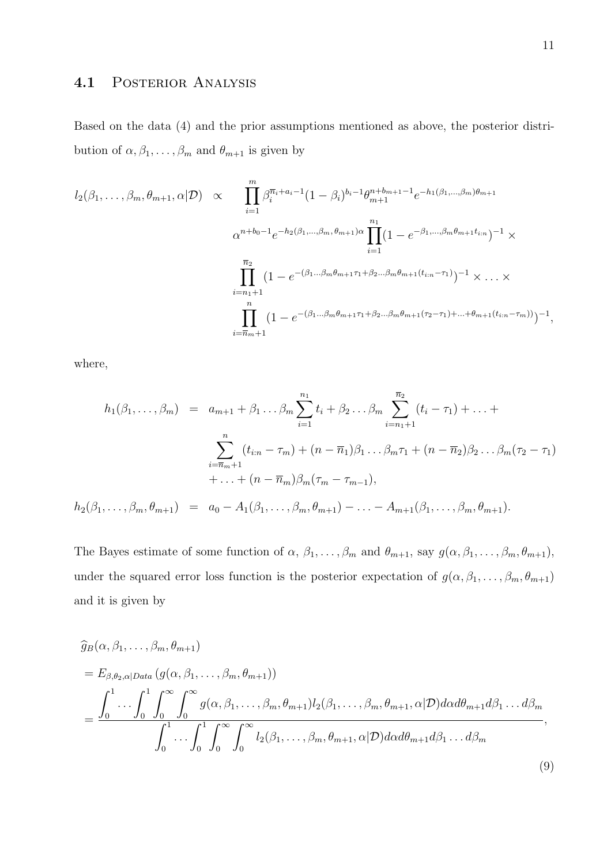#### 4.1 POSTERIOR ANALYSIS

Based on the data (4) and the prior assumptions mentioned as above, the posterior distribution of  $\alpha, \beta_1, \ldots, \beta_m$  and  $\theta_{m+1}$  is given by

$$
l_2(\beta_1, \ldots, \beta_m, \theta_{m+1}, \alpha | \mathcal{D}) \propto \prod_{i=1}^m \beta_i^{\overline{n}_i + a_i - 1} (1 - \beta_i)^{b_i - 1} \theta_{m+1}^{n + b_{m+1} - 1} e^{-h_1(\beta_1, \ldots, \beta_m) \theta_{m+1}}
$$
  

$$
\alpha^{n + b_0 - 1} e^{-h_2(\beta_1, \ldots, \beta_m, \theta_{m+1}) \alpha} \prod_{i=1}^{n_1} (1 - e^{-\beta_1, \ldots, \beta_m \theta_{m+1} t_{i:n}})^{-1} \times \prod_{i=n_1+1}^{\overline{n}_2} (1 - e^{-(\beta_1 \ldots \beta_m \theta_{m+1} \tau_1 + \beta_2 \ldots \beta_m \theta_{m+1} (t_{i:n} - \tau_1)})^{-1} \times \ldots \times \prod_{i=\overline{n}_m+1}^n (1 - e^{-(\beta_1 \ldots \beta_m \theta_{m+1} \tau_1 + \beta_2 \ldots \beta_m \theta_{m+1} (\tau_2 - \tau_1) + \ldots + \theta_{m+1} (t_{i:n} - \tau_m)))^{-1},
$$

where,

$$
h_1(\beta_1, ..., \beta_m) = a_{m+1} + \beta_1 ... \beta_m \sum_{i=1}^{n_1} t_i + \beta_2 ... \beta_m \sum_{i=n_1+1}^{\overline{n_2}} (t_i - \tau_1) + ... +
$$
  

$$
\sum_{i=\overline{n}_m+1}^n (t_{i:n} - \tau_m) + (n - \overline{n}_1)\beta_1 ... \beta_m \tau_1 + (n - \overline{n}_2)\beta_2 ... \beta_m (\tau_2 - \tau_1)
$$
  

$$
+ ... + (n - \overline{n}_m)\beta_m (\tau_m - \tau_{m-1}),
$$
  

$$
h_2(\beta_1, ..., \beta_m, \theta_{m+1}) = a_0 - A_1(\beta_1, ..., \beta_m, \theta_{m+1}) - ... - A_{m+1}(\beta_1, ..., \beta_m, \theta_{m+1}).
$$

The Bayes estimate of some function of  $\alpha$ ,  $\beta_1, \ldots, \beta_m$  and  $\theta_{m+1}$ , say  $g(\alpha, \beta_1, \ldots, \beta_m, \theta_{m+1})$ , under the squared error loss function is the posterior expectation of  $g(\alpha, \beta_1, \ldots, \beta_m, \theta_{m+1})$ and it is given by

$$
\widehat{g}_B(\alpha, \beta_1, \dots, \beta_m, \theta_{m+1})
$$
\n
$$
= E_{\beta, \theta_2, \alpha | Data} (g(\alpha, \beta_1, \dots, \beta_m, \theta_{m+1}))
$$
\n
$$
= \frac{\int_0^1 \dots \int_0^1 \int_0^\infty \int_0^\infty g(\alpha, \beta_1, \dots, \beta_m, \theta_{m+1}) l_2(\beta_1, \dots, \beta_m, \theta_{m+1}, \alpha | \mathcal{D}) d\alpha d\theta_{m+1} d\beta_1 \dots d\beta_m}{\int_0^1 \dots \int_0^1 \int_0^\infty \int_0^\infty l_2(\beta_1, \dots, \beta_m, \theta_{m+1}, \alpha | \mathcal{D}) d\alpha d\theta_{m+1} d\beta_1 \dots d\beta_m},
$$
\n(9)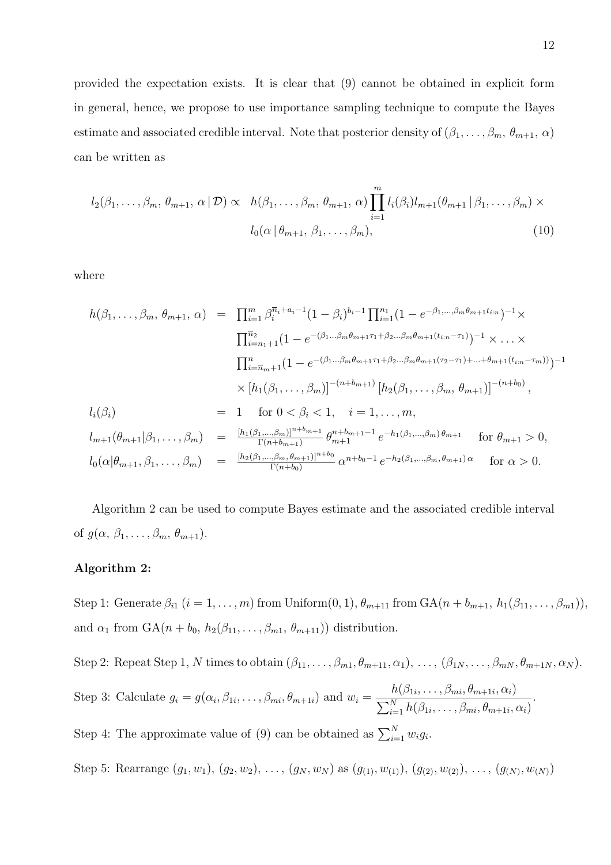provided the expectation exists. It is clear that (9) cannot be obtained in explicit form in general, hence, we propose to use importance sampling technique to compute the Bayes estimate and associated credible interval. Note that posterior density of  $(\beta_1, \ldots, \beta_m, \theta_{m+1}, \alpha)$ can be written as

$$
l_2(\beta_1,\ldots,\beta_m,\,\theta_{m+1},\,\alpha\,|\,\mathcal{D})\propto\quad h(\beta_1,\ldots,\beta_m,\,\theta_{m+1},\,\alpha)\prod_{i=1}^m l_i(\beta_i)l_{m+1}(\theta_{m+1}\,|\,\beta_1,\ldots,\beta_m)\times
$$

$$
l_0(\alpha\,|\,\theta_{m+1},\,\beta_1,\ldots,\beta_m),\tag{10}
$$

where

$$
h(\beta_1, \ldots, \beta_m, \theta_{m+1}, \alpha) = \prod_{i=1}^m \beta_i^{\overline{n}_i + a_i - 1} (1 - \beta_i)^{b_i - 1} \prod_{i=1}^{n_1} (1 - e^{-\beta_1, \ldots, \beta_m \theta_{m+1} t_{i:n}})^{-1} \times
$$
  

$$
\prod_{i=n_1+1}^{\overline{n}_2} (1 - e^{-(\beta_1 \ldots \beta_m \theta_{m+1} \tau_1 + \beta_2 \ldots \beta_m \theta_{m+1} (t_{i:n} - \tau_1)})^{-1} \times \ldots \times
$$
  

$$
\prod_{i=\overline{n}_m+1}^{\overline{n}_2} (1 - e^{-(\beta_1 \ldots \beta_m \theta_{m+1} \tau_1 + \beta_2 \ldots \beta_m \theta_{m+1} (t_{i:n} - \tau_1))})^{-1} \times \ldots \times
$$
  

$$
\prod_{i=\overline{n}_m+1}^{\overline{n}_2} (1 - e^{-(\beta_1 \ldots \beta_m \theta_{m+1} \tau_1 + \beta_2 \ldots \beta_m \theta_{m+1} (t_{i:n} - \tau_1))})^{-1} \times \ldots \times
$$
  

$$
h(\beta_i) = 1 \quad \text{for } 0 < \beta_i < 1, \quad i = 1, \ldots, m,
$$
  

$$
l_{m+1}(\theta_{m+1} | \beta_1, \ldots, \beta_m) = \frac{[h_1(\beta_1, \ldots, \beta_m)]^{n+b_{m+1}}}{\Gamma(n+b_{m+1})} \theta_{m+1}^{n+b_{m+1}-1} e^{-h_1(\beta_1, \ldots, \beta_m) \theta_{m+1}} \quad \text{for } \theta_{m+1} > 0,
$$
  

$$
l_0(\alpha | \theta_{m+1}, \beta_1, \ldots, \beta_m) = \frac{[h_2(\beta_1, \ldots, \beta_m, \theta_{m+1})]^{n+b_0}}{\Gamma(n+b_0)} \alpha^{n+b_0 - 1} e^{-h_2(\beta_1, \ldots, \beta_m, \theta_{m+1}) \alpha} \quad \text{for } \alpha > 0.
$$

Algorithm 2 can be used to compute Bayes estimate and the associated credible interval of  $g(\alpha, \beta_1, \ldots, \beta_m, \theta_{m+1}).$ 

#### Algorithm 2:

Step 1: Generate  $\beta_{i1}$   $(i = 1, \ldots, m)$  from Uniform $(0, 1), \theta_{m+11}$  from  $GA(n + b_{m+1}, h_1(\beta_{11}, \ldots, \beta_{m1}))$ and  $\alpha_1$  from  $GA(n + b_0, h_2(\beta_{11}, \ldots, \beta_{m1}, \theta_{m+11}))$  distribution.

Step 2: Repeat Step 1, N times to obtain  $(\beta_{11}, \ldots, \beta_{m1}, \theta_{m+11}, \alpha_1), \ldots, (\beta_{1N}, \ldots, \beta_{mN}, \theta_{m+1N}, \alpha_N)$ .

Step 3: Calculate  $g_i = g(\alpha_i, \beta_{1i}, \dots, \beta_{mi}, \theta_{m+1i})$  and  $w_i =$  $h(\beta_{1i},\ldots,\beta_{mi},\theta_{m+1i},\alpha_i)$  $\sum_{i=1}^N h(\beta_{1i},\ldots,\beta_{mi},\theta_{m+1i},\alpha_i)$ .

Step 4: The approximate value of (9) can be obtained as  $\sum_{i=1}^{N} w_i g_i$ .

Step 5: Rearrange  $(g_1, w_1), (g_2, w_2), \ldots, (g_N, w_N)$  as  $(g_{(1)}, w_{(1)}), (g_{(2)}, w_{(2)}), \ldots, (g_{(N)}, w_{(N)})$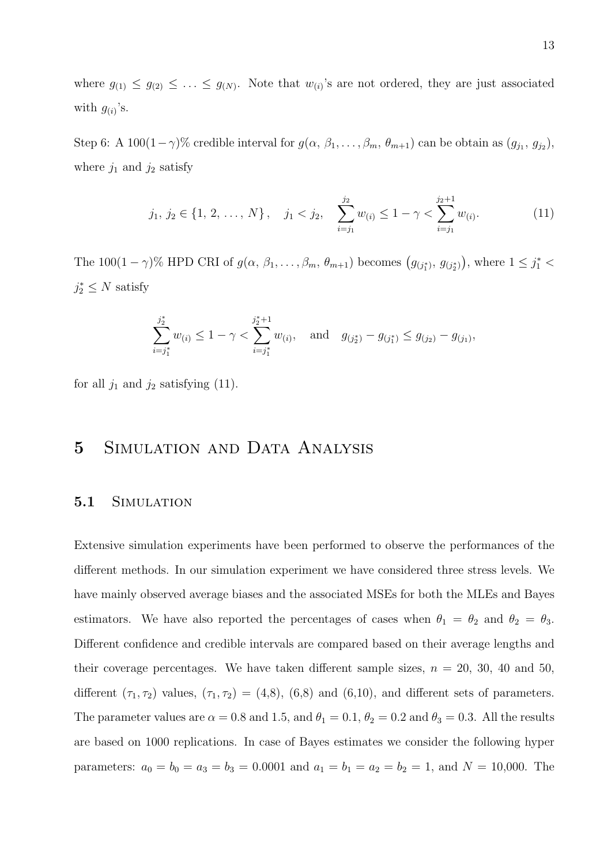where  $g_{(1)} \leq g_{(2)} \leq \ldots \leq g_{(N)}$ . Note that  $w_{(i)}$ 's are not ordered, they are just associated with  $g_{(i)}$ 's.

Step 6: A 100 $(1-\gamma)$ % credible interval for  $g(\alpha, \beta_1, \ldots, \beta_m, \theta_{m+1})$  can be obtain as  $(g_{j_1}, g_{j_2}),$ where  $j_1$  and  $j_2$  satisfy

$$
j_1, j_2 \in \{1, 2, ..., N\}, \quad j_1 < j_2, \quad \sum_{i=j_1}^{j_2} w_{(i)} \le 1 - \gamma < \sum_{i=j_1}^{j_2+1} w_{(i)}.
$$
 (11)

The 100 $(1 - \gamma)$ % HPD CRI of  $g(\alpha, \beta_1, \ldots, \beta_m, \theta_{m+1})$  becomes  $(g_{(j_1^*)}, g_{(j_2^*)})$ , where  $1 \leq j_1^*$  $j_2^* \leq N$  satisfy

$$
\sum_{i=j_1^*}^{j_2^*} w_{(i)} \le 1 - \gamma < \sum_{i=j_1^*}^{j_2^*+1} w_{(i)}, \quad \text{and} \quad g_{(j_2^*)} - g_{(j_1^*)} \le g_{(j_2)} - g_{(j_1)},
$$

for all  $j_1$  and  $j_2$  satisfying (11).

### 5 SIMULATION AND DATA ANALYSIS

#### 5.1 SIMULATION

Extensive simulation experiments have been performed to observe the performances of the different methods. In our simulation experiment we have considered three stress levels. We have mainly observed average biases and the associated MSEs for both the MLEs and Bayes estimators. We have also reported the percentages of cases when  $\theta_1 = \theta_2$  and  $\theta_2 = \theta_3$ . Different confidence and credible intervals are compared based on their average lengths and their coverage percentages. We have taken different sample sizes,  $n = 20, 30, 40,$  and 50, different  $(\tau_1, \tau_2)$  values,  $(\tau_1, \tau_2) = (4, 8)$ ,  $(6, 8)$  and  $(6, 10)$ , and different sets of parameters. The parameter values are  $\alpha = 0.8$  and 1.5, and  $\theta_1 = 0.1$ ,  $\theta_2 = 0.2$  and  $\theta_3 = 0.3$ . All the results are based on 1000 replications. In case of Bayes estimates we consider the following hyper parameters:  $a_0 = b_0 = a_3 = b_3 = 0.0001$  and  $a_1 = b_1 = a_2 = b_2 = 1$ , and  $N = 10,000$ . The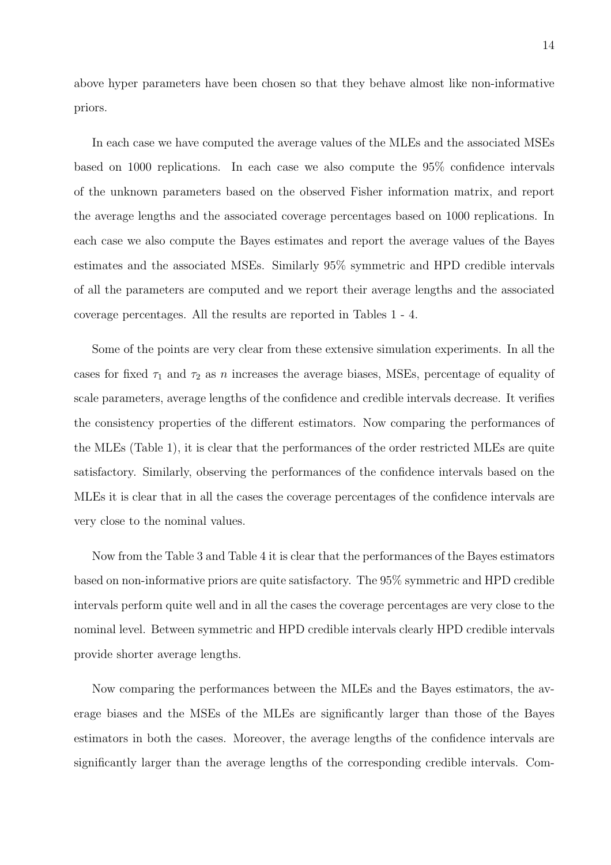above hyper parameters have been chosen so that they behave almost like non-informative priors.

In each case we have computed the average values of the MLEs and the associated MSEs based on 1000 replications. In each case we also compute the 95% confidence intervals of the unknown parameters based on the observed Fisher information matrix, and report the average lengths and the associated coverage percentages based on 1000 replications. In each case we also compute the Bayes estimates and report the average values of the Bayes estimates and the associated MSEs. Similarly 95% symmetric and HPD credible intervals of all the parameters are computed and we report their average lengths and the associated coverage percentages. All the results are reported in Tables 1 - 4.

Some of the points are very clear from these extensive simulation experiments. In all the cases for fixed  $\tau_1$  and  $\tau_2$  as n increases the average biases, MSEs, percentage of equality of scale parameters, average lengths of the confidence and credible intervals decrease. It verifies the consistency properties of the different estimators. Now comparing the performances of the MLEs (Table 1), it is clear that the performances of the order restricted MLEs are quite satisfactory. Similarly, observing the performances of the confidence intervals based on the MLEs it is clear that in all the cases the coverage percentages of the confidence intervals are very close to the nominal values.

Now from the Table 3 and Table 4 it is clear that the performances of the Bayes estimators based on non-informative priors are quite satisfactory. The 95% symmetric and HPD credible intervals perform quite well and in all the cases the coverage percentages are very close to the nominal level. Between symmetric and HPD credible intervals clearly HPD credible intervals provide shorter average lengths.

Now comparing the performances between the MLEs and the Bayes estimators, the average biases and the MSEs of the MLEs are significantly larger than those of the Bayes estimators in both the cases. Moreover, the average lengths of the confidence intervals are significantly larger than the average lengths of the corresponding credible intervals. Com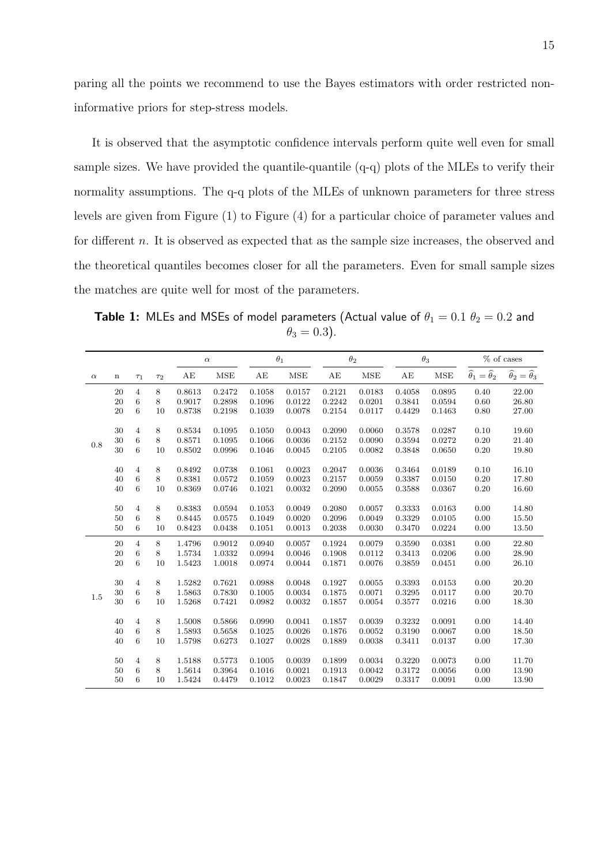paring all the points we recommend to use the Bayes estimators with order restricted noninformative priors for step-stress models.

It is observed that the asymptotic confidence intervals perform quite well even for small sample sizes. We have provided the quantile-quantile  $(q-q)$  plots of the MLEs to verify their normality assumptions. The q-q plots of the MLEs of unknown parameters for three stress levels are given from Figure (1) to Figure (4) for a particular choice of parameter values and for different n. It is observed as expected that as the sample size increases, the observed and the theoretical quantiles becomes closer for all the parameters. Even for small sample sizes the matches are quite well for most of the parameters.

**Table 1:** MLEs and MSEs of model parameters (Actual value of  $\theta_1 = 0.1 \ \theta_2 = 0.2$  and  $\theta_3 = 0.3$ ).

|          |             |          |          |        | $\alpha$ | $\theta_1$ |        |        | $\theta_2$ | $\theta_3$ |            |                                           | % of cases                                |
|----------|-------------|----------|----------|--------|----------|------------|--------|--------|------------|------------|------------|-------------------------------------------|-------------------------------------------|
| $\alpha$ | $\mathbf n$ | $\tau_1$ | $\tau_2$ | AE     | MSE      | AE         | MSE    | AE     | <b>MSE</b> | AE         | <b>MSE</b> | $\widehat{\theta}_1 = \widehat{\theta}_2$ | $\widehat{\theta}_2 = \widehat{\theta}_3$ |
|          | 20          | 4        | 8        | 0.8613 | 0.2472   | 0.1058     | 0.0157 | 0.2121 | 0.0183     | 0.4058     | 0.0895     | 0.40                                      | 22.00                                     |
|          | 20          | 6        | 8        | 0.9017 | 0.2898   | 0.1096     | 0.0122 | 0.2242 | 0.0201     | 0.3841     | 0.0594     | 0.60                                      | 26.80                                     |
|          | 20          | 6        | 10       | 0.8738 | 0.2198   | 0.1039     | 0.0078 | 0.2154 | 0.0117     | 0.4429     | 0.1463     | 0.80                                      | 27.00                                     |
|          | 30          | 4        | 8        | 0.8534 | 0.1095   | 0.1050     | 0.0043 | 0.2090 | 0.0060     | 0.3578     | 0.0287     | 0.10                                      | 19.60                                     |
| 0.8      | 30          | 6        | 8        | 0.8571 | 0.1095   | 0.1066     | 0.0036 | 0.2152 | 0.0090     | 0.3594     | 0.0272     | 0.20                                      | 21.40                                     |
|          | 30          | 6        | 10       | 0.8502 | 0.0996   | 0.1046     | 0.0045 | 0.2105 | 0.0082     | 0.3848     | 0.0650     | 0.20                                      | 19.80                                     |
|          | 40          | 4        | 8        | 0.8492 | 0.0738   | 0.1061     | 0.0023 | 0.2047 | 0.0036     | 0.3464     | 0.0189     | 0.10                                      | 16.10                                     |
|          | 40          | 6        | 8        | 0.8381 | 0.0572   | 0.1059     | 0.0023 | 0.2157 | 0.0059     | 0.3387     | 0.0150     | 0.20                                      | 17.80                                     |
|          | 40          | 6        | 10       | 0.8369 | 0.0746   | 0.1021     | 0.0032 | 0.2090 | 0.0055     | 0.3588     | 0.0367     | 0.20                                      | 16.60                                     |
|          | 50          | 4        | 8        | 0.8383 | 0.0594   | 0.1053     | 0.0049 | 0.2080 | 0.0057     | 0.3333     | 0.0163     | 0.00                                      | 14.80                                     |
|          | 50          | 6        | 8        | 0.8445 | 0.0575   | 0.1049     | 0.0020 | 0.2096 | 0.0049     | 0.3329     | 0.0105     | 0.00                                      | 15.50                                     |
|          | 50          | 6        | 10       | 0.8423 | 0.0438   | 0.1051     | 0.0013 | 0.2038 | 0.0030     | 0.3470     | 0.0224     | 0.00                                      | 13.50                                     |
|          | 20          | 4        | 8        | 1.4796 | 0.9012   | 0.0940     | 0.0057 | 0.1924 | 0.0079     | 0.3590     | 0.0381     | 0.00                                      | 22.80                                     |
|          | 20          | 6        | 8        | 1.5734 | 1.0332   | 0.0994     | 0.0046 | 0.1908 | 0.0112     | 0.3413     | 0.0206     | 0.00                                      | 28.90                                     |
|          | 20          | 6        | 10       | 1.5423 | 1.0018   | 0.0974     | 0.0044 | 0.1871 | 0.0076     | 0.3859     | 0.0451     | 0.00                                      | 26.10                                     |
|          | 30          | 4        | 8        | 1.5282 | 0.7621   | 0.0988     | 0.0048 | 0.1927 | 0.0055     | 0.3393     | 0.0153     | 0.00                                      | 20.20                                     |
| 1.5      | 30          | 6        | 8        | 1.5863 | 0.7830   | 0.1005     | 0.0034 | 0.1875 | 0.0071     | 0.3295     | 0.0117     | 0.00                                      | 20.70                                     |
|          | 30          | 6        | 10       | 1.5268 | 0.7421   | 0.0982     | 0.0032 | 0.1857 | 0.0054     | 0.3577     | 0.0216     | 0.00                                      | 18.30                                     |
|          | 40          | 4        | 8        | 1.5008 | 0.5866   | 0.0990     | 0.0041 | 0.1857 | 0.0039     | 0.3232     | 0.0091     | 0.00                                      | 14.40                                     |
|          | 40          | 6        | 8        | 1.5893 | 0.5658   | 0.1025     | 0.0026 | 0.1876 | 0.0052     | 0.3190     | 0.0067     | 0.00                                      | 18.50                                     |
|          | 40          | 6        | 10       | 1.5798 | 0.6273   | 0.1027     | 0.0028 | 0.1889 | 0.0038     | 0.3411     | 0.0137     | 0.00                                      | 17.30                                     |
|          | 50          | 4        | 8        | 1.5188 | 0.5773   | 0.1005     | 0.0039 | 0.1899 | 0.0034     | 0.3220     | 0.0073     | 0.00                                      | 11.70                                     |
|          | 50          | 6        | 8        | 1.5614 | 0.3964   | 0.1016     | 0.0021 | 0.1913 | 0.0042     | 0.3172     | 0.0056     | 0.00                                      | 13.90                                     |
|          | 50          | 6        | 10       | 1.5424 | 0.4479   | 0.1012     | 0.0023 | 0.1847 | 0.0029     | 0.3317     | 0.0091     | 0.00                                      | 13.90                                     |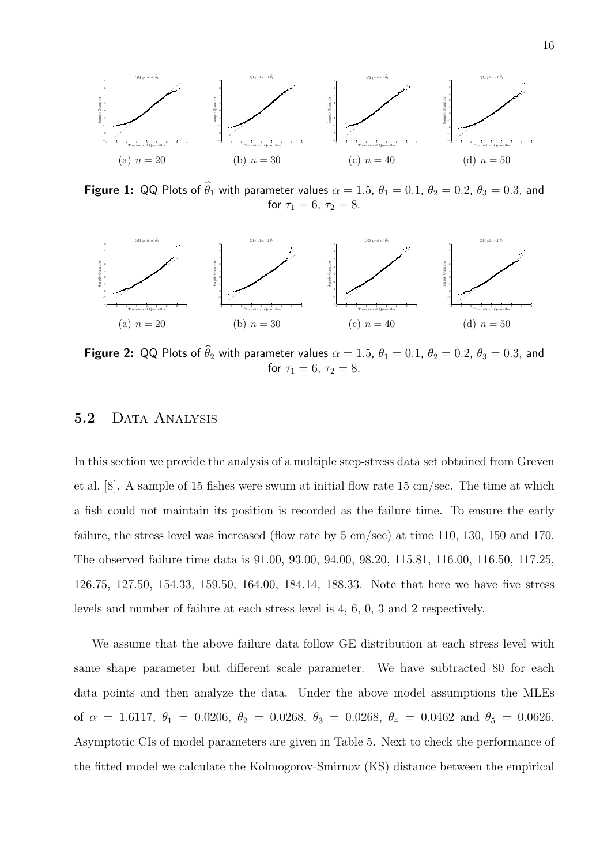

Figure 1: QQ Plots of  $\widehat{\theta}_1$  with parameter values  $\alpha = 1.5$ ,  $\theta_1 = 0.1$ ,  $\theta_2 = 0.2$ ,  $\theta_3 = 0.3$ , and for  $\tau_1 = 6, \ \tau_2 = 8.$ 



**Figure 2:** QQ Plots of  $\theta_2$  with parameter values  $\alpha = 1.5$ ,  $\theta_1 = 0.1$ ,  $\theta_2 = 0.2$ ,  $\theta_3 = 0.3$ , and for  $\tau_1 = 6, \ \tau_2 = 8.$ 

#### 5.2 DATA ANALYSIS

In this section we provide the analysis of a multiple step-stress data set obtained from Greven et al. [8]. A sample of 15 fishes were swum at initial flow rate 15 cm/sec. The time at which a fish could not maintain its position is recorded as the failure time. To ensure the early failure, the stress level was increased (flow rate by 5 cm/sec) at time 110, 130, 150 and 170. The observed failure time data is 91.00, 93.00, 94.00, 98.20, 115.81, 116.00, 116.50, 117.25, 126.75, 127.50, 154.33, 159.50, 164.00, 184.14, 188.33. Note that here we have five stress levels and number of failure at each stress level is 4, 6, 0, 3 and 2 respectively.

We assume that the above failure data follow GE distribution at each stress level with same shape parameter but different scale parameter. We have subtracted 80 for each data points and then analyze the data. Under the above model assumptions the MLEs of  $\alpha = 1.6117$ ,  $\theta_1 = 0.0206$ ,  $\theta_2 = 0.0268$ ,  $\theta_3 = 0.0268$ ,  $\theta_4 = 0.0462$  and  $\theta_5 = 0.0626$ . Asymptotic CIs of model parameters are given in Table 5. Next to check the performance of the fitted model we calculate the Kolmogorov-Smirnov (KS) distance between the empirical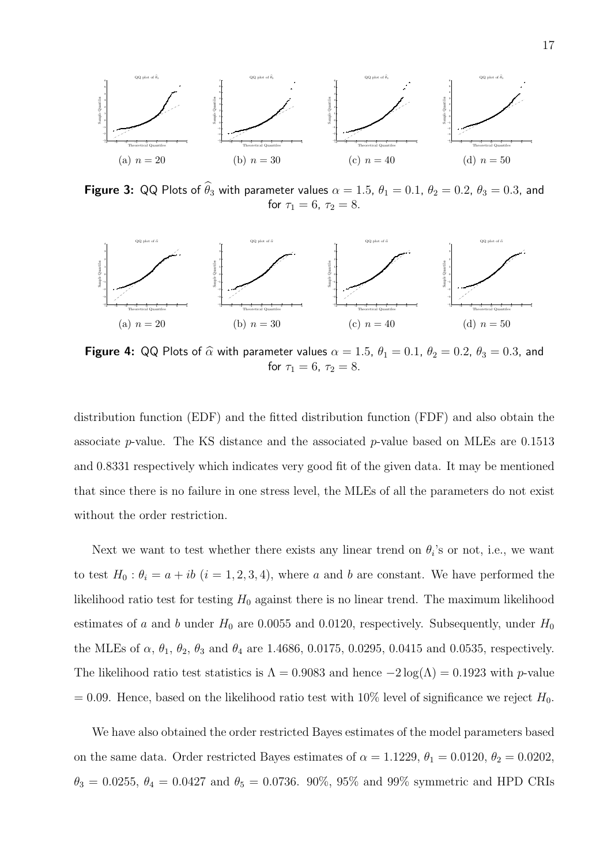

Figure 3: QQ Plots of  $\widehat{\theta}_3$  with parameter values  $\alpha = 1.5$ ,  $\theta_1 = 0.1$ ,  $\theta_2 = 0.2$ ,  $\theta_3 = 0.3$ , and for  $\tau_1 = 6, \ \tau_2 = 8.$ 



Figure 4: QQ Plots of  $\widehat{\alpha}$  with parameter values  $\alpha = 1.5$ ,  $\theta_1 = 0.1$ ,  $\theta_2 = 0.2$ ,  $\theta_3 = 0.3$ , and for  $\tau_1 = 6, \tau_2 = 8$ .

distribution function (EDF) and the fitted distribution function (FDF) and also obtain the associate p-value. The KS distance and the associated p-value based on MLEs are  $0.1513$ and 0.8331 respectively which indicates very good fit of the given data. It may be mentioned that since there is no failure in one stress level, the MLEs of all the parameters do not exist without the order restriction.

Next we want to test whether there exists any linear trend on  $\theta_i$ 's or not, i.e., we want to test  $H_0: \theta_i = a + ib$   $(i = 1, 2, 3, 4)$ , where a and b are constant. We have performed the likelihood ratio test for testing  $H_0$  against there is no linear trend. The maximum likelihood estimates of a and b under  $H_0$  are 0.0055 and 0.0120, respectively. Subsequently, under  $H_0$ the MLEs of  $\alpha$ ,  $\theta_1$ ,  $\theta_2$ ,  $\theta_3$  and  $\theta_4$  are 1.4686, 0.0175, 0.0295, 0.0415 and 0.0535, respectively. The likelihood ratio test statistics is  $\Lambda = 0.9083$  and hence  $-2 \log(\Lambda) = 0.1923$  with p-value  $= 0.09$ . Hence, based on the likelihood ratio test with 10% level of significance we reject  $H_0$ .

We have also obtained the order restricted Bayes estimates of the model parameters based on the same data. Order restricted Bayes estimates of  $\alpha = 1.1229$ ,  $\theta_1 = 0.0120$ ,  $\theta_2 = 0.0202$ ,  $\theta_3 = 0.0255, \ \theta_4 = 0.0427 \ \text{and} \ \theta_5 = 0.0736. \ \ 90\%, \ 95\% \ \text{and} \ 99\% \ \text{symmetric and HPD CRIs}$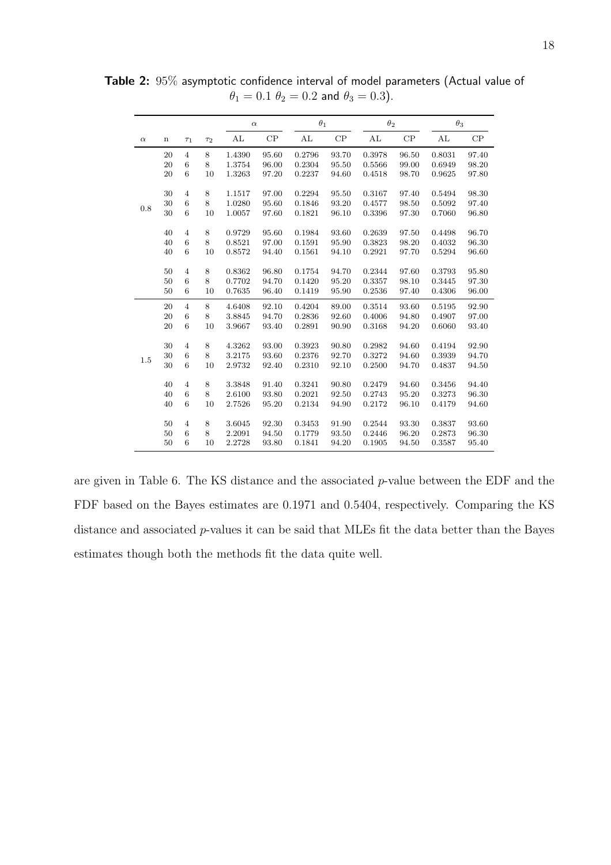|          |             |                |          | $\alpha$ |       | $\theta_1$ |       | $\theta_2$ |       | $\theta_3$ |       |  |
|----------|-------------|----------------|----------|----------|-------|------------|-------|------------|-------|------------|-------|--|
| $\alpha$ | $\mathbf n$ | $\tau_1$       | $\tau_2$ | AL       | CP    | AL         | CP    | AL         | CP    | AL         | CP    |  |
|          | 20          | $\overline{4}$ | 8        | 1.4390   | 95.60 | 0.2796     | 93.70 | 0.3978     | 96.50 | 0.8031     | 97.40 |  |
|          | 20          | 6              | 8        | 1.3754   | 96.00 | 0.2304     | 95.50 | 0.5566     | 99.00 | 0.6949     | 98.20 |  |
|          | 20          | 6              | 10       | 1.3263   | 97.20 | 0.2237     | 94.60 | 0.4518     | 98.70 | 0.9625     | 97.80 |  |
|          | 30          | $\overline{4}$ | 8        | 1.1517   | 97.00 | 0.2294     | 95.50 | 0.3167     | 97.40 | 0.5494     | 98.30 |  |
| 0.8      | 30          | 6              | 8        | 1.0280   | 95.60 | 0.1846     | 93.20 | 0.4577     | 98.50 | 0.5092     | 97.40 |  |
|          | 30          | 6              | 10       | 1.0057   | 97.60 | 0.1821     | 96.10 | 0.3396     | 97.30 | 0.7060     | 96.80 |  |
|          | 40          | $\overline{4}$ | 8        | 0.9729   | 95.60 | 0.1984     | 93.60 | 0.2639     | 97.50 | 0.4498     | 96.70 |  |
|          | 40          | 6              | 8        | 0.8521   | 97.00 | 0.1591     | 95.90 | 0.3823     | 98.20 | 0.4032     | 96.30 |  |
|          | 40          | 6              | 10       | 0.8572   | 94.40 | 0.1561     | 94.10 | 0.2921     | 97.70 | 0.5294     | 96.60 |  |
|          | 50          | $\overline{4}$ | 8        | 0.8362   | 96.80 | 0.1754     | 94.70 | 0.2344     | 97.60 | 0.3793     | 95.80 |  |
|          | 50          | 6              | 8        | 0.7702   | 94.70 | 0.1420     | 95.20 | 0.3357     | 98.10 | 0.3445     | 97.30 |  |
|          | 50          | 6              | 10       | 0.7635   | 96.40 | 0.1419     | 95.90 | 0.2536     | 97.40 | 0.4306     | 96.00 |  |
|          | 20          | $\overline{4}$ | 8        | 4.6408   | 92.10 | 0.4204     | 89.00 | 0.3514     | 93.60 | 0.5195     | 92.90 |  |
|          | 20          | 6              | 8        | 3.8845   | 94.70 | 0.2836     | 92.60 | 0.4006     | 94.80 | 0.4907     | 97.00 |  |
|          | 20          | 6              | 10       | 3.9667   | 93.40 | 0.2891     | 90.90 | 0.3168     | 94.20 | 0.6060     | 93.40 |  |
|          | 30          | $\overline{4}$ | 8        | 4.3262   | 93.00 | 0.3923     | 90.80 | 0.2982     | 94.60 | 0.4194     | 92.90 |  |
| 1.5      | 30          | 6              | 8        | 3.2175   | 93.60 | 0.2376     | 92.70 | 0.3272     | 94.60 | 0.3939     | 94.70 |  |
|          | 30          | 6              | 10       | 2.9732   | 92.40 | 0.2310     | 92.10 | 0.2500     | 94.70 | 0.4837     | 94.50 |  |
|          | 40          | $\overline{4}$ | 8        | 3.3848   | 91.40 | 0.3241     | 90.80 | 0.2479     | 94.60 | 0.3456     | 94.40 |  |
|          | 40          | 6              | 8        | 2.6100   | 93.80 | 0.2021     | 92.50 | 0.2743     | 95.20 | 0.3273     | 96.30 |  |
|          | 40          | 6              | 10       | 2.7526   | 95.20 | 0.2134     | 94.90 | 0.2172     | 96.10 | 0.4179     | 94.60 |  |
|          | 50          | $\overline{4}$ | 8        | 3.6045   | 92.30 | 0.3453     | 91.90 | 0.2544     | 93.30 | 0.3837     | 93.60 |  |
|          | 50          | 6              | 8        | 2.2091   | 94.50 | 0.1779     | 93.50 | 0.2446     | 96.20 | 0.2873     | 96.30 |  |
|          | 50          | 6              | 10       | 2.2728   | 93.80 | 0.1841     | 94.20 | 0.1905     | 94.50 | 0.3587     | 95.40 |  |

Table 2: 95% asymptotic confidence interval of model parameters (Actual value of  $\theta_1 = 0.1 \ \theta_2 = 0.2$  and  $\theta_3 = 0.3$ ).

are given in Table 6. The KS distance and the associated p-value between the EDF and the FDF based on the Bayes estimates are 0.1971 and 0.5404, respectively. Comparing the KS distance and associated p-values it can be said that MLEs fit the data better than the Bayes estimates though both the methods fit the data quite well.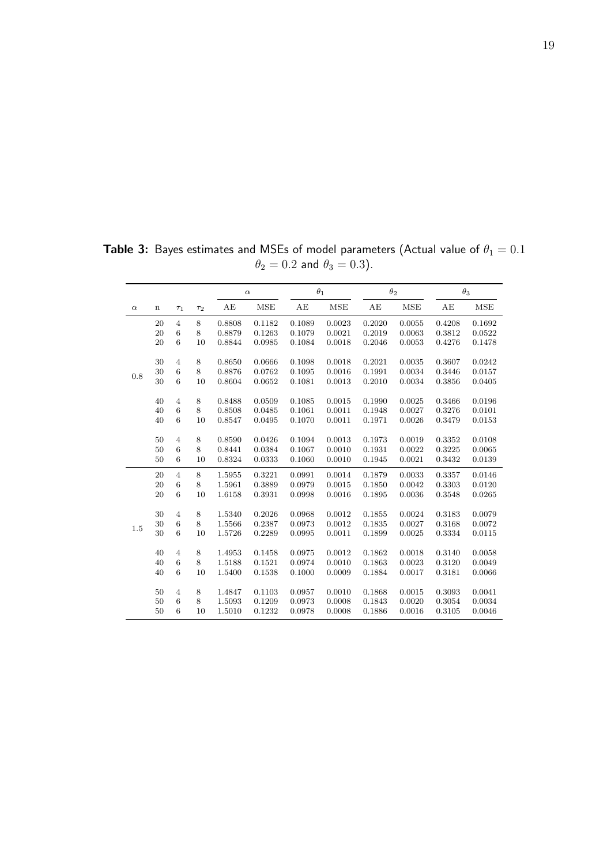|          |             |                |          | $\alpha$ |        |        | $\theta_1$ | $\theta_2$ |        |        | $\theta_3$ |
|----------|-------------|----------------|----------|----------|--------|--------|------------|------------|--------|--------|------------|
| $\alpha$ | $\mathbf n$ | $\tau_1$       | $\tau_2$ | AE       | MSE    | AE     | MSE        | AE         | MSE    | AE     | MSE        |
|          | 20          | $\overline{4}$ | 8        | 0.8808   | 0.1182 | 0.1089 | 0.0023     | 0.2020     | 0.0055 | 0.4208 | 0.1692     |
|          | 20          | $\,6$          | 8        | 0.8879   | 0.1263 | 0.1079 | 0.0021     | 0.2019     | 0.0063 | 0.3812 | 0.0522     |
|          | 20          | 6              | 10       | 0.8844   | 0.0985 | 0.1084 | 0.0018     | 0.2046     | 0.0053 | 0.4276 | 0.1478     |
|          | 30          | $\overline{4}$ | 8        | 0.8650   | 0.0666 | 0.1098 | 0.0018     | 0.2021     | 0.0035 | 0.3607 | 0.0242     |
| 0.8      | 30          | 6              | 8        | 0.8876   | 0.0762 | 0.1095 | 0.0016     | 0.1991     | 0.0034 | 0.3446 | 0.0157     |
|          | 30          | $\,6$          | 10       | 0.8604   | 0.0652 | 0.1081 | 0.0013     | 0.2010     | 0.0034 | 0.3856 | 0.0405     |
|          | 40          | $\overline{4}$ | 8        | 0.8488   | 0.0509 | 0.1085 | 0.0015     | 0.1990     | 0.0025 | 0.3466 | 0.0196     |
|          | 40          | 6              | 8        | 0.8508   | 0.0485 | 0.1061 | 0.0011     | 0.1948     | 0.0027 | 0.3276 | 0.0101     |
|          | 40          | 6              | 10       | 0.8547   | 0.0495 | 0.1070 | 0.0011     | 0.1971     | 0.0026 | 0.3479 | 0.0153     |
|          | 50          | $\overline{4}$ | 8        | 0.8590   | 0.0426 | 0.1094 | 0.0013     | 0.1973     | 0.0019 | 0.3352 | 0.0108     |
|          | 50          | $\,6$          | 8        | 0.8441   | 0.0384 | 0.1067 | 0.0010     | 0.1931     | 0.0022 | 0.3225 | 0.0065     |
|          | 50          | 6              | 10       | 0.8324   | 0.0333 | 0.1060 | 0.0010     | 0.1945     | 0.0021 | 0.3432 | 0.0139     |
|          | 20          | $\overline{4}$ | 8        | 1.5955   | 0.3221 | 0.0991 | 0.0014     | 0.1879     | 0.0033 | 0.3357 | 0.0146     |
|          | 20          | $\,6$          | 8        | 1.5961   | 0.3889 | 0.0979 | 0.0015     | 0.1850     | 0.0042 | 0.3303 | 0.0120     |
|          | 20          | 6              | 10       | 1.6158   | 0.3931 | 0.0998 | 0.0016     | 0.1895     | 0.0036 | 0.3548 | 0.0265     |
|          | 30          | $\overline{4}$ | 8        | 1.5340   | 0.2026 | 0.0968 | 0.0012     | 0.1855     | 0.0024 | 0.3183 | 0.0079     |
| 1.5      | 30          | 6              | 8        | 1.5566   | 0.2387 | 0.0973 | 0.0012     | 0.1835     | 0.0027 | 0.3168 | 0.0072     |
|          | 30          | 6              | 10       | 1.5726   | 0.2289 | 0.0995 | 0.0011     | 0.1899     | 0.0025 | 0.3334 | 0.0115     |
|          | 40          | $\overline{4}$ | 8        | 1.4953   | 0.1458 | 0.0975 | 0.0012     | 0.1862     | 0.0018 | 0.3140 | 0.0058     |
|          | 40          | $\,6$          | 8        | 1.5188   | 0.1521 | 0.0974 | 0.0010     | 0.1863     | 0.0023 | 0.3120 | 0.0049     |
|          | 40          | $\,6$          | 10       | 1.5400   | 0.1538 | 0.1000 | 0.0009     | 0.1884     | 0.0017 | 0.3181 | 0.0066     |
|          | 50          | $\overline{4}$ | 8        | 1.4847   | 0.1103 | 0.0957 | 0.0010     | 0.1868     | 0.0015 | 0.3093 | 0.0041     |
|          | 50          | 6              | 8        | 1.5093   | 0.1209 | 0.0973 | 0.0008     | 0.1843     | 0.0020 | 0.3054 | 0.0034     |
|          | 50          | 6              | 10       | 1.5010   | 0.1232 | 0.0978 | 0.0008     | 0.1886     | 0.0016 | 0.3105 | 0.0046     |

**Table 3:** Bayes estimates and MSEs of model parameters (Actual value of  $\theta_1=0.1$  $\theta_2 = 0.2$  and  $\theta_3 = 0.3$ ).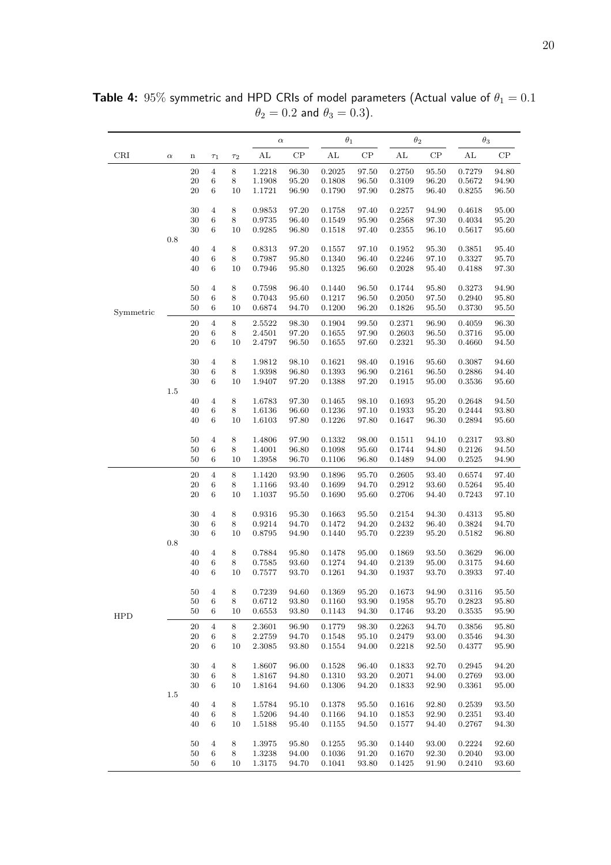|            |          |              |                           |               | $\alpha$         |                | $\theta_1$       |                | $\theta_2$       |                | $\theta_3$           |                |
|------------|----------|--------------|---------------------------|---------------|------------------|----------------|------------------|----------------|------------------|----------------|----------------------|----------------|
| CRI        | $\alpha$ | $\bf n$      | $\tau_1$                  | $\tau_2$      | AL               | CP             | AL               | $\cal CP$      | AL               | $\cal CP$      | AL                   | $\cal CP$      |
|            |          | 20           | 4                         | 8             | 1.2218           | 96.30          | 0.2025           | 97.50          | 0.2750           | 95.50          | 0.7279               | 94.80          |
|            |          | 20           | 6                         | 8             | 1.1908           | 95.20          | 0.1808           | 96.50          | 0.3109           | 96.20          | 0.5672               | 94.90          |
|            |          | 20           | 6                         | 10            | 1.1721           | 96.90          | 0.1790           | 97.90          | 0.2875           | 96.40          | 0.8255               | 96.50          |
|            |          | 30           | $\overline{4}$            | 8             | 0.9853           | 97.20          | 0.1758           | 97.40          | 0.2257           | 94.90          | 0.4618               | 95.00          |
|            |          | $30\,$       | 6                         | $\,8\,$       | 0.9735           | 96.40          | 0.1549           | 95.90          | 0.2568           | 97.30          | 0.4034               | 95.20          |
|            |          | 30           | 6                         | 10            | 0.9285           | 96.80          | 0.1518           | 97.40          | 0.2355           | 96.10          | 0.5617               | 95.60          |
|            | 0.8      | 40           | $\overline{4}$            | 8             | 0.8313           | 97.20          | 0.1557           | 97.10          | 0.1952           | 95.30          | 0.3851               | 95.40          |
|            |          | 40           | 6                         | $\,8\,$       | 0.7987           | 95.80          | 0.1340           | 96.40          | 0.2246           | 97.10          | 0.3327               | 95.70          |
|            |          | 40           | 6                         | 10            | 0.7946           | 95.80          | 0.1325           | 96.60          | 0.2028           | 95.40          | 0.4188               | 97.30          |
|            |          |              |                           |               |                  |                |                  |                |                  |                |                      |                |
|            |          | 50           | $\overline{4}$            | $\,8\,$       | 0.7598           | 96.40          | 0.1440           | 96.50          | 0.1744           | 95.80          | 0.3273               | 94.90          |
|            |          | 50           | 6                         | 8             | 0.7043           | 95.60          | 0.1217           | 96.50          | 0.2050           | 97.50          | 0.2940               | 95.80          |
| Symmetric  |          | 50           | 6                         | 10            | 0.6874           | 94.70          | 0.1200           | 96.20          | 0.1826           | 95.50          | 0.3730               | 95.50          |
|            |          | 20           | $\overline{4}$            | $\,8\,$       | 2.5522           | 98.30          | 0.1904           | 99.50          | 0.2371           | 96.90          | 0.4059               | 96.30          |
|            |          | 20           | 6                         | $\,8\,$       | 2.4501           | 97.20          | 0.1655           | 97.90          | 0.2603           | 96.50          | 0.3716               | 95.00          |
|            |          | 20           | 6                         | 10            | 2.4797           | 96.50          | 0.1655           | 97.60          | 0.2321           | 95.30          | 0.4660               | 94.50          |
|            |          | $30\,$       | $\overline{4}$            | $\,8\,$       | 1.9812           | 98.10          | 0.1621           | 98.40          | 0.1916           | 95.60          | 0.3087               | 94.60          |
|            |          | 30           | 6                         | 8             | 1.9398           | 96.80          | 0.1393           | 96.90          | 0.2161           | 96.50          | 0.2886               | 94.40          |
|            |          | 30           | 6                         | 10            | 1.9407           | 97.20          | 0.1388           | 97.20          | 0.1915           | 95.00          | 0.3536               | 95.60          |
|            | 1.5      | 40           | $\overline{4}$            | 8             | 1.6783           | 97.30          | 0.1465           | 98.10          | 0.1693           | 95.20          | 0.2648               | 94.50          |
|            |          | 40           | 6                         | $\,8\,$       | 1.6136           | 96.60          | 0.1236           | 97.10          | 0.1933           | 95.20          | 0.2444               | 93.80          |
|            |          | 40           | 6                         | 10            | 1.6103           | 97.80          | 0.1226           | 97.80          | 0.1647           | 96.30          | 0.2894               | 95.60          |
|            |          |              |                           |               |                  |                |                  |                |                  |                |                      |                |
|            |          | 50           | $\overline{4}$            | 8             | 1.4806           | 97.90          | 0.1332           | 98.00          | 0.1511           | 94.10          | 0.2317               | 93.80          |
|            |          | 50<br>50     | 6<br>6                    | $\,8\,$<br>10 | 1.4001<br>1.3958 | 96.80<br>96.70 | 0.1098<br>0.1106 | 95.60<br>96.80 | 0.1744<br>0.1489 | 94.80<br>94.00 | 0.2126<br>$0.2525\,$ | 94.50<br>94.90 |
|            |          |              |                           |               |                  |                |                  |                |                  |                |                      |                |
|            |          | 20           | $\overline{4}$            | $\,8\,$       | 1.1420           | 93.90          | 0.1896           | 95.70          | 0.2605           | 93.40          | 0.6574               | 97.40          |
|            |          | 20<br>20     | 6<br>6                    | $\,8\,$<br>10 | 1.1166<br>1.1037 | 93.40          | 0.1699           | 94.70          | 0.2912<br>0.2706 | 93.60          | 0.5264<br>0.7243     | 95.40          |
|            |          |              |                           |               |                  | 95.50          | 0.1690           | 95.60          |                  | 94.40          |                      | 97.10          |
|            |          | 30           | $\overline{4}$            | 8             | 0.9316           | 95.30          | 0.1663           | 95.50          | 0.2154           | 94.30          | 0.4313               | 95.80          |
|            |          | 30           | 6                         | $\,8\,$       | 0.9214           | 94.70          | 0.1472           | 94.20          | 0.2432           | 96.40          | 0.3824               | 94.70          |
|            |          | 30           | 6                         | 10            | 0.8795           | 94.90          | 0.1440           | 95.70          | 0.2239           | 95.20          | 0.5182               | 96.80          |
|            | 0.8      | 40           | $\overline{4}$            | $\,8\,$       | 0.7884           | 95.80          | 0.1478           | 95.00          | 0.1869           | 93.50          | 0.3629               | 96.00          |
|            |          | 40           | 6                         | 8             | 0.7585           | 93.60          | 0.1274           | 94.40          | 0.2139           | 95.00          | 0.3175               | 94.60          |
|            |          | 40           | 6                         | 10            | 0.7577           | 93.70          | 0.1261           | 94.30          | 0.1937           | 93.70          | 0.3933               | 97.40          |
|            |          |              |                           |               |                  |                |                  |                |                  |                |                      |                |
|            |          | 50<br>$50\,$ | $\overline{4}$<br>$\,6\,$ | 8<br>$\,8\,$  | 0.7239<br>0.6712 | 94.60<br>93.80 | 0.1369<br>0.1160 | 95.20<br>93.90 | 0.1673<br>0.1958 | 94.90<br>95.70 | 0.3116<br>0.2823     | 95.50<br>95.80 |
|            |          | 50           | 6                         | 10            | 0.6553           | 93.80          | 0.1143           | 94.30          | 0.1746           | 93.20          | 0.3535               | 95.90          |
| <b>HPD</b> |          | $20\,$       | $\overline{4}$            | $\,8\,$       | 2.3601           | 96.90          | 0.1779           | 98.30          | 0.2263           | 94.70          | 0.3856               | 95.80          |
|            |          | $20\,$       | 6                         | $\,8\,$       | 2.2759           | 94.70          | 0.1548           | 95.10          | 0.2479           | 93.00          | 0.3546               | 94.30          |
|            |          | 20           | $\,6\,$                   | 10            | 2.3085           | 93.80          | 0.1554           | 94.00          | 0.2218           | 92.50          | 0.4377               | 95.90          |
|            |          |              |                           |               |                  |                |                  |                |                  |                |                      |                |
|            |          | 30           | $\overline{4}$            | $\,8\,$       | 1.8607           | 96.00          | 0.1528           | 96.40          | 0.1833           | 92.70          | 0.2945               | 94.20          |
|            |          | 30<br>$30\,$ | $\,6\,$<br>$\,6\,$        | $\,8\,$       | 1.8167           | 94.80          | 0.1310           | 93.20          | 0.2071           | 94.00          | 0.2769               | 93.00          |
|            | $1.5\,$  |              |                           | 10            | 1.8164           | 94.60          | 0.1306           | 94.20          | 0.1833           | 92.90          | 0.3361               | 95.00          |
|            |          | 40           | $\overline{4}$            | $\,8\,$       | 1.5784           | 95.10          | 0.1378           | 95.50          | 0.1616           | 92.80          | 0.2539               | 93.50          |
|            |          | 40           | $\,6\,$                   | $\,8\,$       | 1.5206           | 94.40          | 0.1166           | 94.10          | 0.1853           | 92.90          | 0.2351               | 93.40          |
|            |          | 40           | 6                         | 10            | 1.5188           | 95.40          | 0.1155           | 94.50          | 0.1577           | 94.40          | 0.2767               | 94.30          |
|            |          | 50           | $\overline{4}$            | $\,8\,$       | 1.3975           | 95.80          | 0.1255           | 95.30          | 0.1440           | 93.00          | 0.2224               | 92.60          |
|            |          | 50           | $\,6\,$                   | $\,8\,$       | 1.3238           | 94.00          | 0.1036           | 91.20          | 0.1670           | 92.30          | 0.2040               | 93.00          |
|            |          | 50           | 6                         | 10            | 1.3175           | 94.70          | 0.1041           | 93.80          | 0.1425           | 91.90          | 0.2410               | 93.60          |

**Table 4:**  $95\%$  symmetric and HPD CRIs of model parameters (Actual value of  $\theta_1 = 0.1$  $\theta_2 = 0.2$  and  $\theta_3 = 0.3$ ).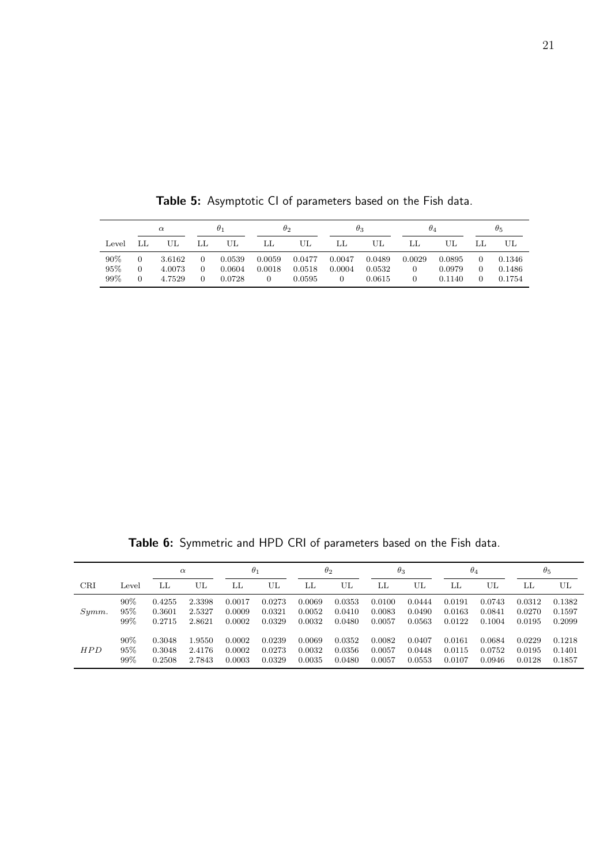|       | $\alpha$ |        | $\theta_1$ |        | $\theta_2$ |        | $\theta_3$ |        | $\theta_4$ |        | $\theta_{5}$ |        |
|-------|----------|--------|------------|--------|------------|--------|------------|--------|------------|--------|--------------|--------|
| Level |          | UL.    | LL         | UL     | LL         | UL     | LL         | UL     |            | UL     |              | UL     |
| 90%   | 0        | 3.6162 | 0          | 0.0539 | 0.0059     | 0.0477 | 0.0047     | 0.0489 | 0.0029     | 0.0895 |              | 0.1346 |
| 95%   | $\Omega$ | 4.0073 | 0          | 0.0604 | 0.0018     | 0.0518 | 0.0004     | 0.0532 | 0          | 0.0979 |              | 0.1486 |
| 99%   | $\Omega$ | 4.7529 | 0          | 0.0728 |            | 0.0595 | 0          | 0.0615 | 0          | 0.1140 |              | 0.1754 |

Table 5: Asymptotic CI of parameters based on the Fish data.

Table 6: Symmetric and HPD CRI of parameters based on the Fish data.

|            |       | $\alpha$ |        | $\theta_1$ |        | $\theta_2$ |        | $\theta_3$ |        | $\theta_4$ |        | $\theta_{5}$ |        |
|------------|-------|----------|--------|------------|--------|------------|--------|------------|--------|------------|--------|--------------|--------|
| <b>CRI</b> | Level | LL       | UL     | LL         | UL     | LL         | UL     | LL         | UL     | LL         | UL     | LL           | UL     |
| $Symm$ .   | 90%   | 0.4255   | 2.3398 | 0.0017     | 0.0273 | 0.0069     | 0.0353 | 0.0100     | 0.0444 | 0.0191     | 0.0743 | 0.0312       | 0.1382 |
|            | 95%   | 0.3601   | 2.5327 | 0.0009     | 0.0321 | 0.0052     | 0.0410 | 0.0083     | 0.0490 | 0.0163     | 0.0841 | 0.0270       | 0.1597 |
|            | 99%   | 0.2715   | 2.8621 | 0.0002     | 0.0329 | 0.0032     | 0.0480 | 0.0057     | 0.0563 | 0.0122     | 0.1004 | 0.0195       | 0.2099 |
| HPD        | 90%   | 0.3048   | 1.9550 | 0.0002     | 0.0239 | 0.0069     | 0.0352 | 0.0082     | 0.0407 | 0.0161     | 0.0684 | 0.0229       | 0.1218 |
|            | 95%   | 0.3048   | 2.4176 | 0.0002     | 0.0273 | 0.0032     | 0.0356 | 0.0057     | 0.0448 | 0.0115     | 0.0752 | 0.0195       | 0.1401 |
|            | 99%   | 0.2508   | 2.7843 | 0.0003     | 0.0329 | 0.0035     | 0.0480 | 0.0057     | 0.0553 | 0.0107     | 0.0946 | 0.0128       | 0.1857 |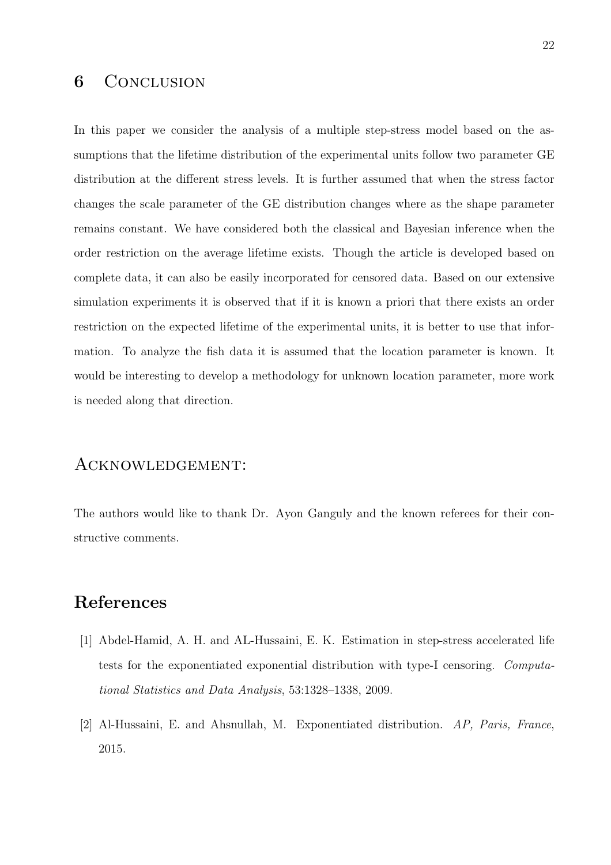### 6 CONCLUSION

In this paper we consider the analysis of a multiple step-stress model based on the assumptions that the lifetime distribution of the experimental units follow two parameter GE distribution at the different stress levels. It is further assumed that when the stress factor changes the scale parameter of the GE distribution changes where as the shape parameter remains constant. We have considered both the classical and Bayesian inference when the order restriction on the average lifetime exists. Though the article is developed based on complete data, it can also be easily incorporated for censored data. Based on our extensive simulation experiments it is observed that if it is known a priori that there exists an order restriction on the expected lifetime of the experimental units, it is better to use that information. To analyze the fish data it is assumed that the location parameter is known. It would be interesting to develop a methodology for unknown location parameter, more work is needed along that direction.

#### Acknowledgement:

The authors would like to thank Dr. Ayon Ganguly and the known referees for their constructive comments.

# References

- [1] Abdel-Hamid, A. H. and AL-Hussaini, E. K. Estimation in step-stress accelerated life tests for the exponentiated exponential distribution with type-I censoring. Computational Statistics and Data Analysis, 53:1328–1338, 2009.
- [2] Al-Hussaini, E. and Ahsnullah, M. Exponentiated distribution. AP, Paris, France, 2015.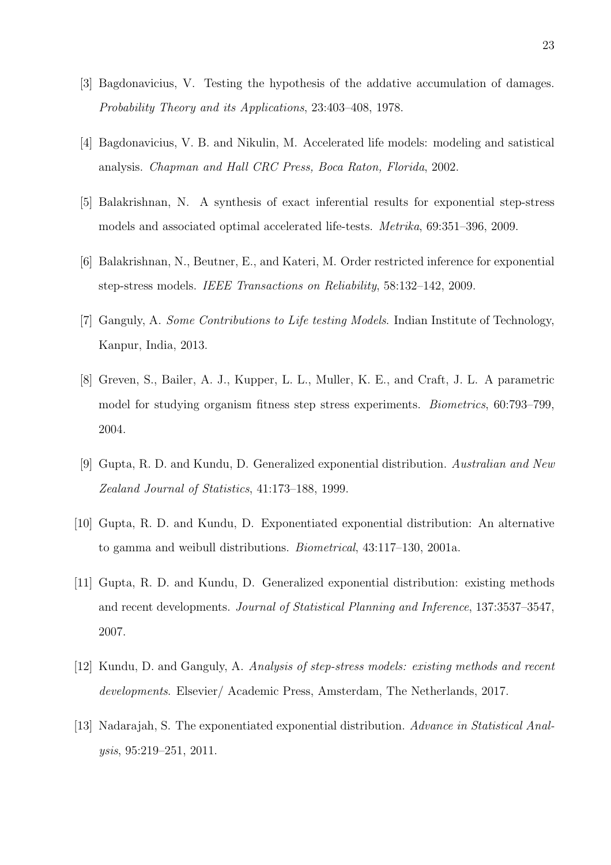- [3] Bagdonavicius, V. Testing the hypothesis of the addative accumulation of damages. Probability Theory and its Applications, 23:403–408, 1978.
- [4] Bagdonavicius, V. B. and Nikulin, M. Accelerated life models: modeling and satistical analysis. Chapman and Hall CRC Press, Boca Raton, Florida, 2002.
- [5] Balakrishnan, N. A synthesis of exact inferential results for exponential step-stress models and associated optimal accelerated life-tests. Metrika, 69:351–396, 2009.
- [6] Balakrishnan, N., Beutner, E., and Kateri, M. Order restricted inference for exponential step-stress models. IEEE Transactions on Reliability, 58:132–142, 2009.
- [7] Ganguly, A. Some Contributions to Life testing Models. Indian Institute of Technology, Kanpur, India, 2013.
- [8] Greven, S., Bailer, A. J., Kupper, L. L., Muller, K. E., and Craft, J. L. A parametric model for studying organism fitness step stress experiments. Biometrics, 60:793–799, 2004.
- [9] Gupta, R. D. and Kundu, D. Generalized exponential distribution. Australian and New Zealand Journal of Statistics, 41:173–188, 1999.
- [10] Gupta, R. D. and Kundu, D. Exponentiated exponential distribution: An alternative to gamma and weibull distributions. Biometrical, 43:117–130, 2001a.
- [11] Gupta, R. D. and Kundu, D. Generalized exponential distribution: existing methods and recent developments. Journal of Statistical Planning and Inference, 137:3537–3547, 2007.
- [12] Kundu, D. and Ganguly, A. Analysis of step-stress models: existing methods and recent developments. Elsevier/ Academic Press, Amsterdam, The Netherlands, 2017.
- [13] Nadarajah, S. The exponentiated exponential distribution. Advance in Statistical Analysis, 95:219–251, 2011.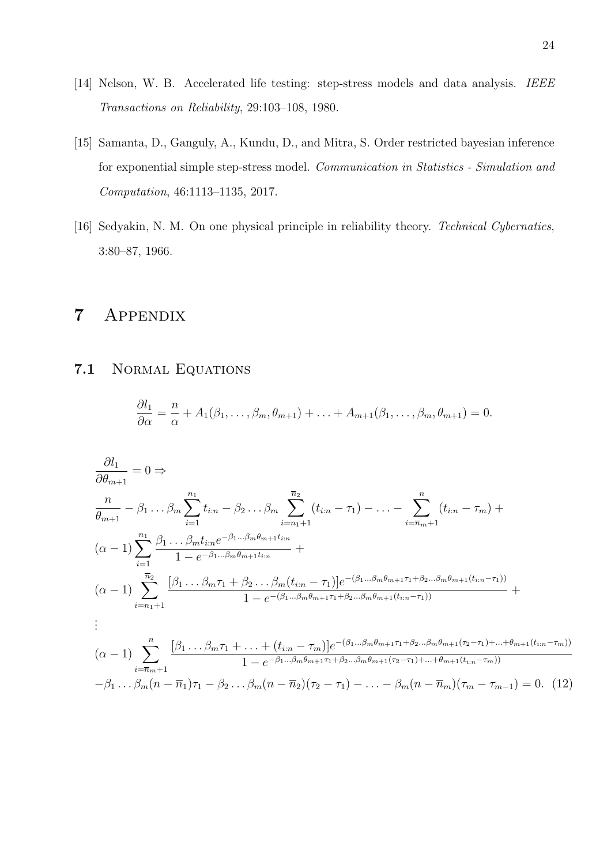- [14] Nelson, W. B. Accelerated life testing: step-stress models and data analysis. IEEE Transactions on Reliability, 29:103–108, 1980.
- [15] Samanta, D., Ganguly, A., Kundu, D., and Mitra, S. Order restricted bayesian inference for exponential simple step-stress model. Communication in Statistics - Simulation and Computation, 46:1113–1135, 2017.
- [16] Sedyakin, N. M. On one physical principle in reliability theory. Technical Cybernatics, 3:80–87, 1966.

# 7 Appendix

#### 7.1 Normal Equations

$$
\frac{\partial l_1}{\partial \alpha} = \frac{n}{\alpha} + A_1(\beta_1, \dots, \beta_m, \theta_{m+1}) + \dots + A_{m+1}(\beta_1, \dots, \beta_m, \theta_{m+1}) = 0.
$$

$$
\frac{\partial l_1}{\partial \theta_{m+1}} = 0 \Rightarrow \n\frac{n}{\theta_{m+1}} - \beta_1 \dots \beta_m \sum_{i=1}^{n_1} t_{i:n} - \beta_2 \dots \beta_m \sum_{i=n_1+1}^{\overline{n}_2} (t_{i:n} - \tau_1) - \dots - \sum_{i=\overline{n}_{m}+1}^n (t_{i:n} - \tau_m) + \n(\alpha - 1) \sum_{i=1}^{n_1} \frac{\beta_1 \dots \beta_m t_{i:n} e^{-\beta_1 \dots \beta_m \theta_{m+1} t_{i:n}}}{1 - e^{-\beta_1 \dots \beta_m \theta_{m+1} t_{i:n}}} + \n(\alpha - 1) \sum_{i=n_1+1}^{\overline{n}_2} \frac{[\beta_1 \dots \beta_m \tau_1 + \beta_2 \dots \beta_m (t_{i:n} - \tau_1)] e^{-(\beta_1 \dots \beta_m \theta_{m+1} \tau_1 + \beta_2 \dots \beta_m \theta_{m+1} (t_{i:n} - \tau_1))}}{1 - e^{-(\beta_1 \dots \beta_m \theta_{m+1} \tau_1 + \beta_2 \dots \beta_m \theta_{m+1} (t_{i:n} - \tau_1))}} + \n\vdots \n(\alpha - 1) \sum_{i=\overline{n}_{m}+1}^{n_1} \frac{[\beta_1 \dots \beta_m \tau_1 + \dots + (t_{i:n} - \tau_m)] e^{-(\beta_1 \dots \beta_m \theta_{m+1} \tau_1 + \beta_2 \dots \beta_m \theta_{m+1} (\tau_2 - \tau_1) + \dots + \theta_{m+1} (t_{i:n} - \tau_m))}{1 - e^{-\beta_1 \dots \beta_m \theta_{m+1} \tau_1 + \beta_2 \dots \beta_m \theta_{m+1} (\tau_2 - \tau_1) + \dots + \theta_{m+1} (t_{i:n} - \tau_m))}} - \beta_1 \dots \beta_m (n - \overline{n}_1) \tau_1 - \beta_2 \dots \beta_m (n - \overline{n}_2) (\tau_2 - \tau_1) - \dots - \beta_m (n - \overline{n}_m) (\tau_m - \tau_{m-1}) = 0. \tag{12}
$$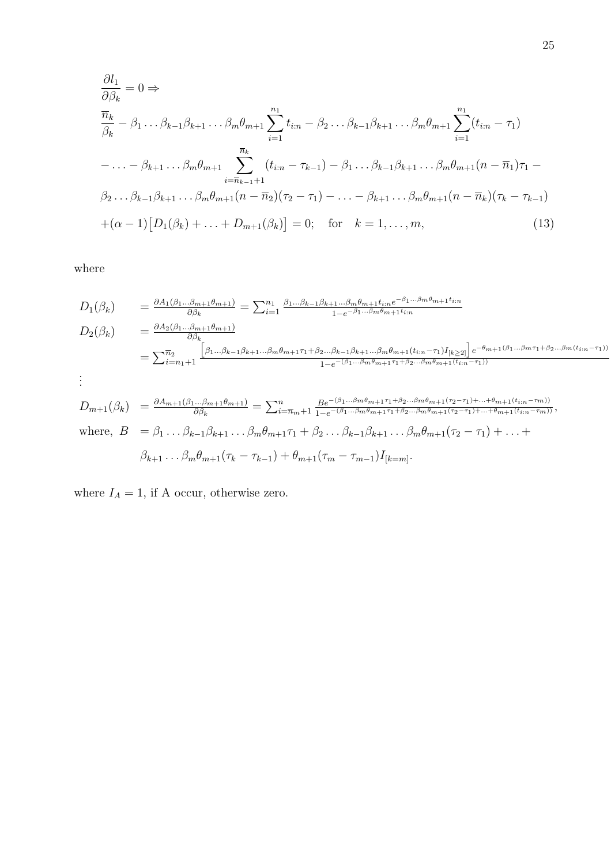$$
\frac{\partial l_1}{\partial \beta_k} = 0 \Rightarrow \n\frac{\overline{n}_k}{\beta_k} - \beta_1 \dots \beta_{k-1} \beta_{k+1} \dots \beta_m \theta_{m+1} \sum_{i=1}^{n_1} t_{i:n} - \beta_2 \dots \beta_{k-1} \beta_{k+1} \dots \beta_m \theta_{m+1} \sum_{i=1}^{n_1} (t_{i:n} - \tau_1) \n- \dots - \beta_{k+1} \dots \beta_m \theta_{m+1} \sum_{i=\overline{n}_{k-1}+1}^{\overline{n}_k} (t_{i:n} - \tau_{k-1}) - \beta_1 \dots \beta_{k-1} \beta_{k+1} \dots \beta_m \theta_{m+1} (n - \overline{n}_1) \tau_1 -
$$
\n
$$
\beta_2 \dots \beta_{k-1} \beta_{k+1} \dots \beta_m \theta_{m+1} (n - \overline{n}_2) (\tau_2 - \tau_1) - \dots - \beta_{k+1} \dots \beta_m \theta_{m+1} (n - \overline{n}_k) (\tau_k - \tau_{k-1}) \n+ (\alpha - 1) [D_1(\beta_k) + \dots + D_{m+1}(\beta_k)] = 0; \text{ for } k = 1, \dots, m,
$$
\n(13)

where

$$
D_{1}(\beta_{k}) = \frac{\partial A_{1}(\beta_{1}...\beta_{m+1}\theta_{m+1})}{\partial\beta_{k}} = \sum_{i=1}^{n_{1}} \frac{\beta_{1}...\beta_{k-1}\beta_{k+1}...\beta_{m}\theta_{m+1}t_{i:n}e^{-\beta_{1}...\beta_{m}\theta_{m+1}t_{i:n}}}{1-e^{-\beta_{1}...\beta_{m}\theta_{m+1}t_{i:n}}}
$$
  
\n
$$
D_{2}(\beta_{k}) = \frac{\partial A_{2}(\beta_{1}...\beta_{m+1}\theta_{m+1})}{\partial\beta_{k}}
$$
  
\n
$$
= \sum_{i=n_{1}+1}^{\overline{n_{2}}} \frac{\left[\beta_{1}...\beta_{k-1}\beta_{k+1}...\beta_{m}\theta_{m+1}\tau_{1}+\beta_{2}...\beta_{k-1}\beta_{k+1}...\beta_{m}\theta_{m+1}(t_{i:n}-\tau_{1})I_{[k\geq2]}\right]e^{-\theta_{m+1}(\beta_{1}...\beta_{m}\tau_{1}+\beta_{2}...\beta_{m}(t_{i:n}-\tau_{1}))}}{1-e^{-(\beta_{1}...\beta_{m}\theta_{m+1}\tau_{1}+\beta_{2}...\beta_{m}\theta_{m+1}(t_{i:n}-\tau_{1}))}}
$$
  
\n
$$
\vdots
$$

$$
D_{m+1}(\beta_k) = \frac{\partial A_{m+1}(\beta_1...\beta_{m+1}\theta_{m+1})}{\partial \beta_k} = \sum_{i=\overline{n}_m+1}^n \frac{Be^{-(\beta_1...\beta_m\theta_{m+1}\tau_1+\beta_2...\beta_m\theta_{m+1}(\tau_2-\tau_1)+...+\theta_{m+1}(t_{i:n}-\tau_m))}}{1-e^{-(\beta_1...\beta_m\theta_{m+1}\tau_1+\beta_2...\beta_m\theta_{m+1}(\tau_2-\tau_1)+...+\theta_{m+1}(t_{i:n}-\tau_m))}},
$$
  
where,  $B = \beta_1 \dots \beta_{k-1}\beta_{k+1}\dots \beta_m\theta_{m+1}\tau_1+\beta_2\dots \beta_{k-1}\beta_{k+1}\dots \beta_m\theta_{m+1}(\tau_2-\tau_1)+...+\beta_{k+1}\dots \beta_m\theta_{m+1}(\tau_k-\tau_{k-1})+\theta_{m+1}(\tau_m-\tau_{m-1})I_{[k=m]}.$ 

where  $I_A = 1$ , if A occur, otherwise zero.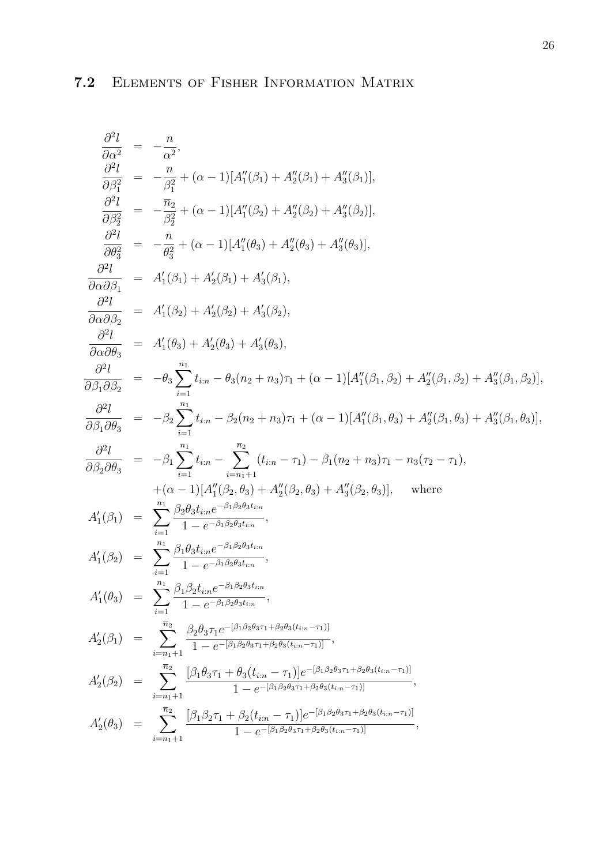$$
\frac{\partial^2 l}{\partial \alpha^2} = -\frac{n}{\alpha^2},
$$
\n
$$
\frac{\partial^2 l}{\partial \beta_1^2} = -\frac{n}{\beta_1^2} + (\alpha - 1)[A''_1(\beta_1) + A''_2(\beta_1) + A''_3(\beta_1)],
$$
\n
$$
\frac{\partial^2 l}{\partial \beta_2^2} = -\frac{\overline{n}_2}{\beta_2^2} + (\alpha - 1)[A''_1(\beta_2) + A''_2(\beta_2) + A''_3(\beta_2)],
$$
\n
$$
\frac{\partial^2 l}{\partial \alpha \beta_3^2} = -\frac{n}{\theta_3^2} + (\alpha - 1)[A''_1(\theta_3) + A''_2(\theta_3) + A''_3(\theta_3)],
$$
\n
$$
\frac{\partial^2 l}{\partial \alpha \partial \beta_1} = A'_1(\beta_1) + A'_2(\beta_1) + A'_3(\beta_1),
$$
\n
$$
\frac{\partial^2 l}{\partial \alpha \partial \theta_3^2} = A'_1(\beta_2) + A'_2(\beta_2) + A'_3(\beta_2),
$$
\n
$$
\frac{\partial^2 l}{\partial \beta \partial \theta_3^2} = -\theta_3 \sum_{i=1}^{n_1} t_{i:n} - \theta_3(n_2 + n_3)\tau_1 + (\alpha - 1)[A''_1(\beta_1, \beta_2) + A''_2(\beta_1, \beta_2) + A''_3(\beta_1, \beta_2)],
$$
\n
$$
\frac{\partial^2 l}{\partial \beta \partial \theta_3^2} = -\beta_2 \sum_{i=1}^{n_1} t_{i:n} - \beta_2(n_2 + n_3)\tau_1 + (\alpha - 1)[A''_1(\beta_1, \beta_3) + A''_2(\beta_1, \beta_3) + A''_3(\beta_1, \beta_3)],
$$
\n
$$
\frac{\partial^2 l}{\partial \beta_2 \partial \theta_3^2} = -\beta_1 \sum_{i=1}^{n_1} t_{i:n} - \sum_{i=n_1+1}^{n_2} (t_{i:n} - \tau_1) - \beta_1(n_2 + n_3)\tau_1 - n_3(\tau_2 - \tau_1),
$$
\n
$$
+ (\alpha - 1)[A''_1(\beta_2, \theta_3) + A''_2(\
$$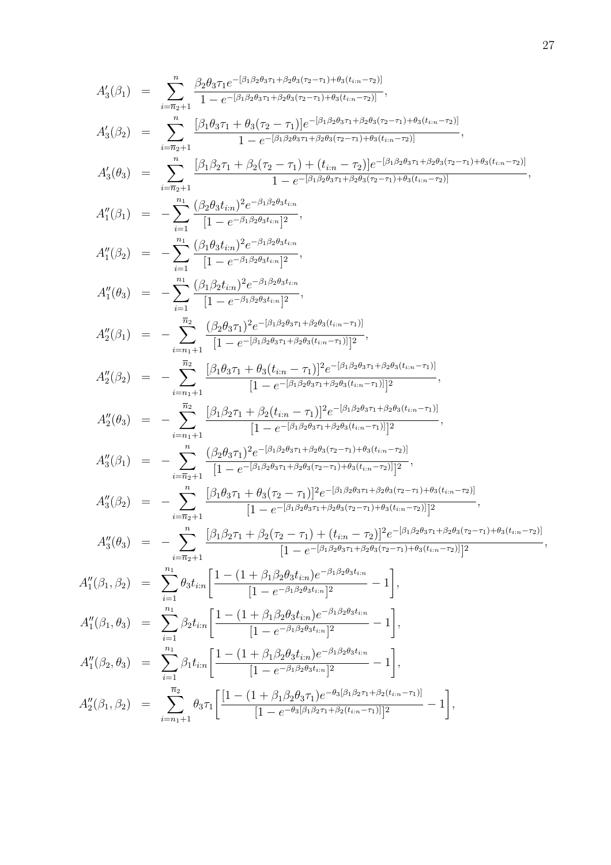$$
A'_{3}(\beta_{1}) = \sum_{i=\overline{n}_{2}+1}^n \frac{\beta_{2}\theta_{3}\tau_{1}e^{-\beta_{1}\beta_{2}\theta_{3}\tau_{1}+\beta_{2}\theta_{3}(\tau_{2}-\tau_{1})+\theta_{3}(\ell_{in}-\tau_{2})]}}{1-e^{-\beta_{1}\beta_{2}\theta_{3}\tau_{1}+\beta_{2}\theta_{3}(\tau_{2}-\tau_{1})+\theta_{3}(\ell_{in}-\tau_{2})]}} ,
$$
\n
$$
A'_{3}(\beta_{2}) = \sum_{i=\overline{n}_{2}+1}^n \frac{[\beta_{1}\theta_{3}\tau_{1}+\beta_{2}(\tau_{2}-\tau_{1})]e^{-\beta_{1}\beta_{2}\theta_{3}\tau_{1}+\beta_{2}\theta_{3}(\tau_{2}-\tau_{1})+\theta_{3}(\ell_{in}-\tau_{2})]}}{1-e^{-\beta_{1}\beta_{2}\theta_{3}\tau_{1}+\beta_{2}\theta_{3}(\tau_{2}-\tau_{1})+\theta_{3}(\ell_{in}-\tau_{2})]}} ,
$$
\n
$$
A'_{3}(\theta_{3}) = \sum_{i=\overline{n}_{2}+1}^n \frac{[\beta_{1}\beta_{2}\tau_{1}+\beta_{2}(\tau_{2}-\tau_{1})+(\ell_{in}-\tau_{2})]e^{-\beta_{1}\beta_{2}\theta_{3}\tau_{1}+\beta_{2}\theta_{3}(\tau_{2}-\tau_{1})+\theta_{3}(\ell_{in}-\tau_{2})]}}{1-e^{-\beta_{1}\beta_{2}\theta_{3}\tau_{1}+\beta_{2}\theta_{3}(\tau_{2}-\tau_{1})+\theta_{3}(\ell_{in}-\tau_{2})]}} ,
$$
\n
$$
A''_{1}(\beta_{1}) = -\sum_{i=1}^n \frac{(\beta_{2}\theta_{3}\ell_{i\overline{n}})^2e^{-\beta_{1}\beta_{2}\theta_{3}\ell_{i\overline{n}}}}{[1-e^{-\beta_{1}\beta_{2}\theta_{3}\ell_{i\overline{n}}]^2} ,
$$
\n
$$
A''_{1}(\beta_{2}) = -\sum_{i=1}^n \frac{(\beta_{1}\theta_{3}\ell_{i\overline{n}})^2e^{-\beta_{1}\beta_{2}\theta_{3}\ell_{i\overline{n}}}}{[1-e^{-\beta_{1}\beta_{2}\theta_{3}\ell_{i\overline{n}}]^2} ,
$$
\n
$$
A''_{2}(\
$$